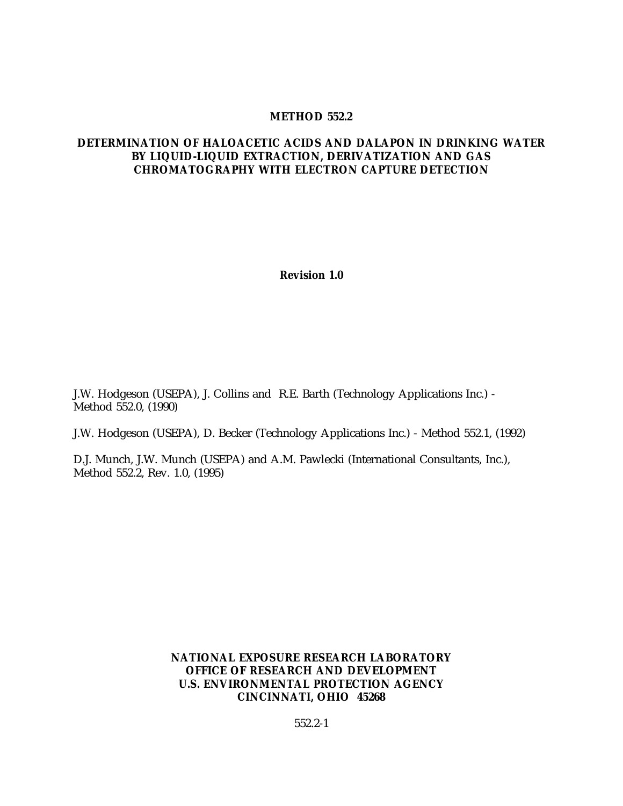#### **METHOD 552.2**

#### **DETERMINATION OF HALOACETIC ACIDS AND DALAPON IN DRINKING WATER BY LIQUID-LIQUID EXTRACTION, DERIVATIZATION AND GAS CHROMATOGRAPHY WITH ELECTRON CAPTURE DETECTION**

**Revision 1.0**

J.W. Hodgeson (USEPA), J. Collins and R.E. Barth (Technology Applications Inc.) - Method 552.0, (1990)

J.W. Hodgeson (USEPA), D. Becker (Technology Applications Inc.) - Method 552.1, (1992)

D.J. Munch, J.W. Munch (USEPA) and A.M. Pawlecki (International Consultants, Inc.), Method 552.2, Rev. 1.0, (1995)

> **NATIONAL EXPOSURE RESEARCH LABORATORY OFFICE OF RESEARCH AND DEVELOPMENT U.S. ENVIRONMENTAL PROTECTION AGENCY CINCINNATI, OHIO 45268**

> > 552.2-1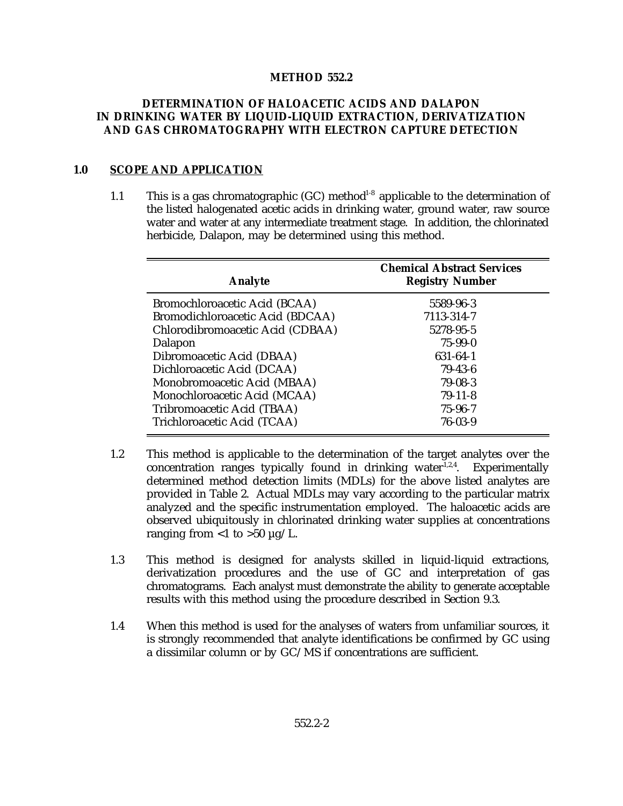#### **METHOD 552.2**

### **DETERMINATION OF HALOACETIC ACIDS AND DALAPON IN DRINKING WATER BY LIQUID-LIQUID EXTRACTION, DERIVATIZATION AND GAS CHROMATOGRAPHY WITH ELECTRON CAPTURE DETECTION**

#### **1.0 SCOPE AND APPLICATION**

1.1 This is a gas chromatographic  $(GC)$  method<sup>1-8</sup> applicable to the determination of the listed halogenated acetic acids in drinking water, ground water, raw source water and water at any intermediate treatment stage. In addition, the chlorinated herbicide, Dalapon, may be determined using this method.

| Analyte                          | <b>Chemical Abstract Services</b><br><b>Registry Number</b> |
|----------------------------------|-------------------------------------------------------------|
| Bromochloroacetic Acid (BCAA)    | 5589-96-3                                                   |
| Bromodichloroacetic Acid (BDCAA) | 7113-314-7                                                  |
| Chlorodibromoacetic Acid (CDBAA) | 5278-95-5                                                   |
| Dalapon                          | $75 - 99 - 0$                                               |
| Dibromoacetic Acid (DBAA)        | 631-64-1                                                    |
| Dichloroacetic Acid (DCAA)       | $79-43-6$                                                   |
| Monobromoacetic Acid (MBAA)      | 79-08-3                                                     |
| Monochloroacetic Acid (MCAA)     | $79-11-8$                                                   |
| Tribromoacetic Acid (TBAA)       | $75 - 96 - 7$                                               |
| Trichloroacetic Acid (TCAA)      | $76 - 03 - 9$                                               |

- 1.2 This method is applicable to the determination of the target analytes over the concentration ranges typically found in drinking water $1,2,4$ . Experimentally determined method detection limits (MDLs) for the above listed analytes are provided in Table 2. Actual MDLs may vary according to the particular matrix analyzed and the specific instrumentation employed. The haloacetic acids are observed ubiquitously in chlorinated drinking water supplies at concentrations ranging from  $<$ 1 to  $>$ 50  $\mu$ g/L.
- 1.3 This method is designed for analysts skilled in liquid-liquid extractions, derivatization procedures and the use of GC and interpretation of gas chromatograms. Each analyst must demonstrate the ability to generate acceptable results with this method using the procedure described in Section 9.3.
- 1.4 When this method is used for the analyses of waters from unfamiliar sources, it is strongly recommended that analyte identifications be confirmed by GC using a dissimilar column or by GC/MS if concentrations are sufficient.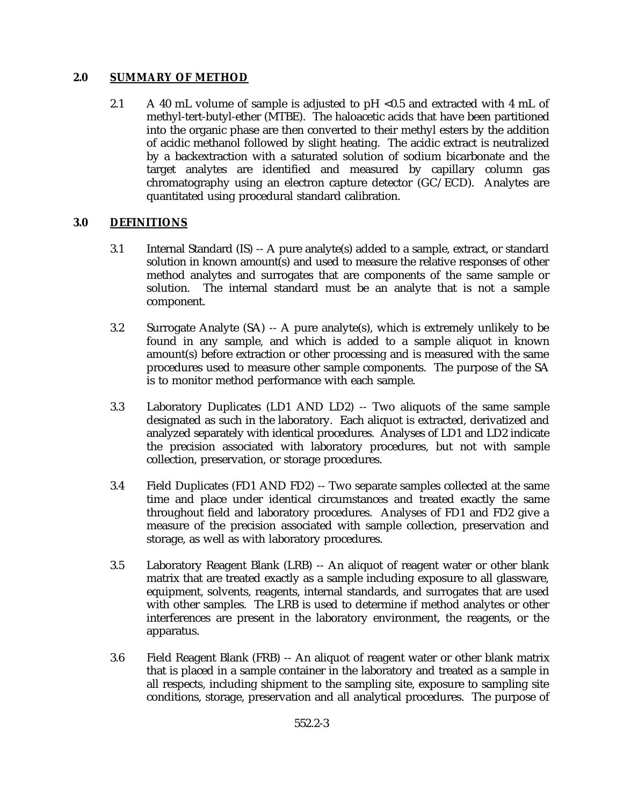### **2.0 SUMMARY OF METHOD**

2.1 A 40 mL volume of sample is adjusted to pH <0.5 and extracted with 4 mL of methyl-tert-butyl-ether (MTBE). The haloacetic acids that have been partitioned into the organic phase are then converted to their methyl esters by the addition of acidic methanol followed by slight heating. The acidic extract is neutralized by a backextraction with a saturated solution of sodium bicarbonate and the target analytes are identified and measured by capillary column gas chromatography using an electron capture detector (GC/ECD). Analytes are quantitated using procedural standard calibration.

## **3.0 DEFINITIONS**

- 3.1 Internal Standard (IS) -- A pure analyte(s) added to a sample, extract, or standard solution in known amount(s) and used to measure the relative responses of other method analytes and surrogates that are components of the same sample or solution. The internal standard must be an analyte that is not a sample component.
- 3.2 Surrogate Analyte (SA) -- A pure analyte(s), which is extremely unlikely to be found in any sample, and which is added to a sample aliquot in known amount(s) before extraction or other processing and is measured with the same procedures used to measure other sample components. The purpose of the SA is to monitor method performance with each sample.
- 3.3 Laboratory Duplicates (LD1 AND LD2) -- Two aliquots of the same sample designated as such in the laboratory. Each aliquot is extracted, derivatized and analyzed separately with identical procedures. Analyses of LD1 and LD2 indicate the precision associated with laboratory procedures, but not with sample collection, preservation, or storage procedures.
- 3.4 Field Duplicates (FD1 AND FD2) -- Two separate samples collected at the same time and place under identical circumstances and treated exactly the same throughout field and laboratory procedures. Analyses of FD1 and FD2 give a measure of the precision associated with sample collection, preservation and storage, as well as with laboratory procedures.
- 3.5 Laboratory Reagent Blank (LRB) -- An aliquot of reagent water or other blank matrix that are treated exactly as a sample including exposure to all glassware, equipment, solvents, reagents, internal standards, and surrogates that are used with other samples. The LRB is used to determine if method analytes or other interferences are present in the laboratory environment, the reagents, or the apparatus.
- 3.6 Field Reagent Blank (FRB) -- An aliquot of reagent water or other blank matrix that is placed in a sample container in the laboratory and treated as a sample in all respects, including shipment to the sampling site, exposure to sampling site conditions, storage, preservation and all analytical procedures. The purpose of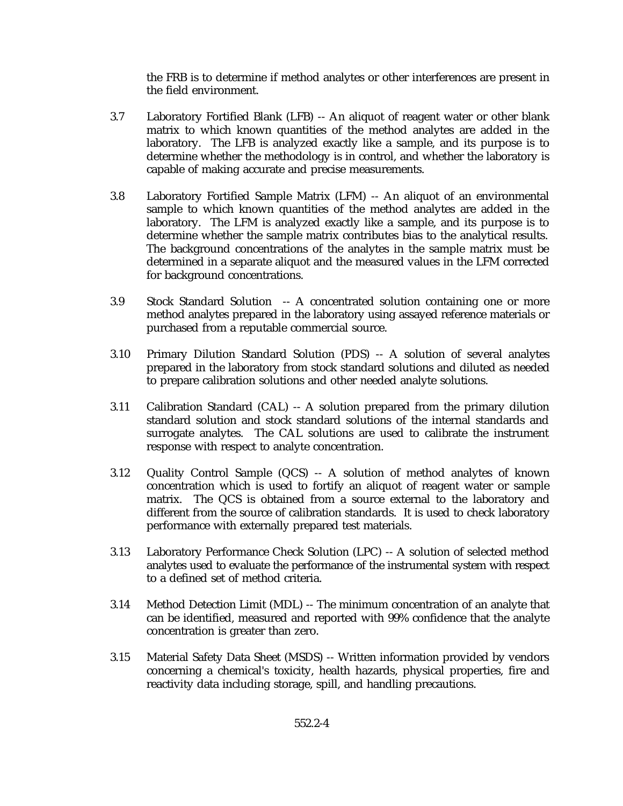the FRB is to determine if method analytes or other interferences are present in the field environment.

- 3.7 Laboratory Fortified Blank (LFB) -- An aliquot of reagent water or other blank matrix to which known quantities of the method analytes are added in the laboratory. The LFB is analyzed exactly like a sample, and its purpose is to determine whether the methodology is in control, and whether the laboratory is capable of making accurate and precise measurements.
- 3.8 Laboratory Fortified Sample Matrix (LFM) -- An aliquot of an environmental sample to which known quantities of the method analytes are added in the laboratory. The LFM is analyzed exactly like a sample, and its purpose is to determine whether the sample matrix contributes bias to the analytical results. The background concentrations of the analytes in the sample matrix must be determined in a separate aliquot and the measured values in the LFM corrected for background concentrations.
- 3.9 Stock Standard Solution -- A concentrated solution containing one or more method analytes prepared in the laboratory using assayed reference materials or purchased from a reputable commercial source.
- 3.10 Primary Dilution Standard Solution (PDS) -- A solution of several analytes prepared in the laboratory from stock standard solutions and diluted as needed to prepare calibration solutions and other needed analyte solutions.
- 3.11 Calibration Standard (CAL) -- A solution prepared from the primary dilution standard solution and stock standard solutions of the internal standards and surrogate analytes. The CAL solutions are used to calibrate the instrument response with respect to analyte concentration.
- 3.12 Quality Control Sample (QCS) -- A solution of method analytes of known concentration which is used to fortify an aliquot of reagent water or sample matrix. The QCS is obtained from a source external to the laboratory and different from the source of calibration standards. It is used to check laboratory performance with externally prepared test materials.
- 3.13 Laboratory Performance Check Solution (LPC) -- A solution of selected method analytes used to evaluate the performance of the instrumental system with respect to a defined set of method criteria.
- 3.14 Method Detection Limit (MDL) -- The minimum concentration of an analyte that can be identified, measured and reported with 99% confidence that the analyte concentration is greater than zero.
- 3.15 Material Safety Data Sheet (MSDS) -- Written information provided by vendors concerning a chemical's toxicity, health hazards, physical properties, fire and reactivity data including storage, spill, and handling precautions.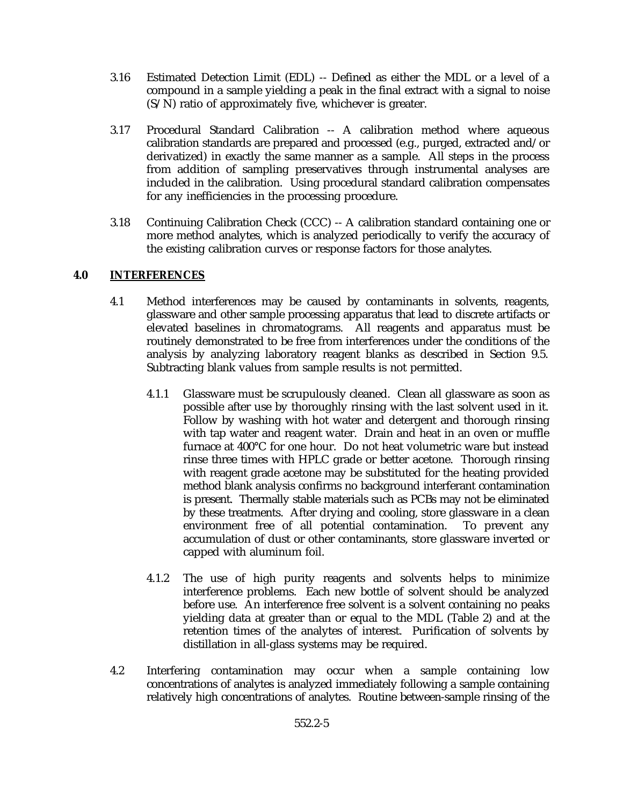- 3.16 Estimated Detection Limit (EDL) -- Defined as either the MDL or a level of a compound in a sample yielding a peak in the final extract with a signal to noise (S/N) ratio of approximately five, whichever is greater.
- 3.17 Procedural Standard Calibration -- A calibration method where aqueous calibration standards are prepared and processed (e.g., purged, extracted and/or derivatized) in exactly the same manner as a sample. All steps in the process from addition of sampling preservatives through instrumental analyses are included in the calibration. Using procedural standard calibration compensates for any inefficiencies in the processing procedure.
- 3.18 Continuing Calibration Check (CCC) -- A calibration standard containing one or more method analytes, which is analyzed periodically to verify the accuracy of the existing calibration curves or response factors for those analytes.

### **4.0 INTERFERENCES**

- 4.1 Method interferences may be caused by contaminants in solvents, reagents, glassware and other sample processing apparatus that lead to discrete artifacts or elevated baselines in chromatograms. All reagents and apparatus must be routinely demonstrated to be free from interferences under the conditions of the analysis by analyzing laboratory reagent blanks as described in Section 9.5. Subtracting blank values from sample results is not permitted.
	- 4.1.1 Glassware must be scrupulously cleaned. Clean all glassware as soon as possible after use by thoroughly rinsing with the last solvent used in it. Follow by washing with hot water and detergent and thorough rinsing with tap water and reagent water. Drain and heat in an oven or muffle furnace at 400°C for one hour. Do not heat volumetric ware but instead rinse three times with HPLC grade or better acetone. Thorough rinsing with reagent grade acetone may be substituted for the heating provided method blank analysis confirms no background interferant contamination is present. Thermally stable materials such as PCBs may not be eliminated by these treatments. After drying and cooling, store glassware in a clean environment free of all potential contamination. To prevent any accumulation of dust or other contaminants, store glassware inverted or capped with aluminum foil.
	- 4.1.2 The use of high purity reagents and solvents helps to minimize interference problems. Each new bottle of solvent should be analyzed before use. An interference free solvent is a solvent containing no peaks yielding data at greater than or equal to the MDL (Table 2) and at the retention times of the analytes of interest. Purification of solvents by distillation in all-glass systems may be required.
- 4.2 Interfering contamination may occur when a sample containing low concentrations of analytes is analyzed immediately following a sample containing relatively high concentrations of analytes. Routine between-sample rinsing of the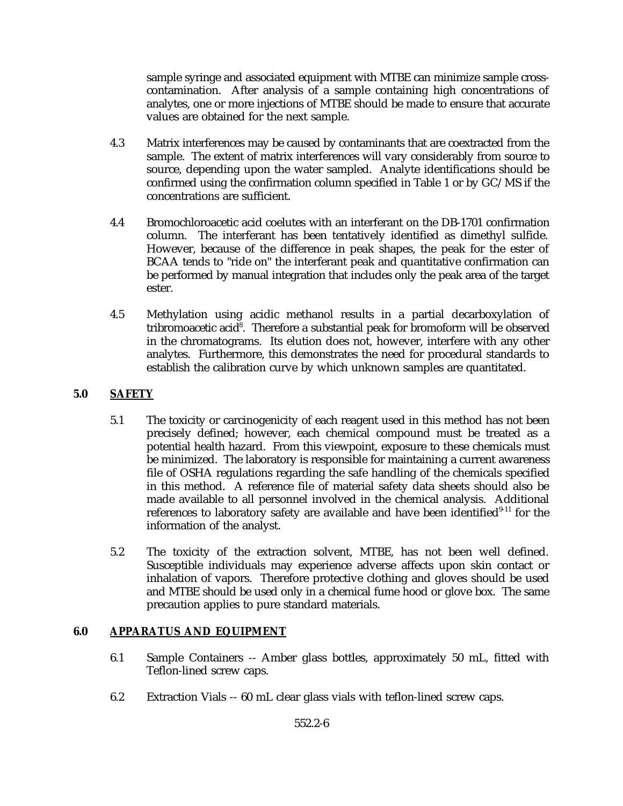sample syringe and associated equipment with MTBE can minimize sample crosscontamination. After analysis of a sample containing high concentrations of analytes, one or more injections of MTBE should be made to ensure that accurate values are obtained for the next sample.

- 4.3 Matrix interferences may be caused by contaminants that are coextracted from the sample. The extent of matrix interferences will vary considerably from source to source, depending upon the water sampled. Analyte identifications should be confirmed using the confirmation column specified in Table 1 or by GC/MS if the concentrations are sufficient.
- 4.4 Bromochloroacetic acid coelutes with an interferant on the DB-1701 confirmation column. The interferant has been tentatively identified as dimethyl sulfide. However, because of the difference in peak shapes, the peak for the ester of BCAA tends to "ride on" the interferant peak and quantitative confirmation can be performed by manual integration that includes only the peak area of the target ester.
- 4.5 Methylation using acidic methanol results in a partial decarboxylation of tribromoacetic acid<sup>8</sup>. Therefore a substantial peak for bromoform will be observed in the chromatograms. Its elution does not, however, interfere with any other analytes. Furthermore, this demonstrates the need for procedural standards to establish the calibration curve by which unknown samples are quantitated.

## **5.0 SAFETY**

- 5.1 The toxicity or carcinogenicity of each reagent used in this method has not been precisely defined; however, each chemical compound must be treated as a potential health hazard. From this viewpoint, exposure to these chemicals must be minimized. The laboratory is responsible for maintaining a current awareness file of OSHA regulations regarding the safe handling of the chemicals specified in this method. A reference file of material safety data sheets should also be made available to all personnel involved in the chemical analysis. Additional references to laboratory safety are available and have been identified $9-11$  for the information of the analyst.
- 5.2 The toxicity of the extraction solvent, MTBE, has not been well defined. Susceptible individuals may experience adverse affects upon skin contact or inhalation of vapors. Therefore protective clothing and gloves should be used and MTBE should be used only in a chemical fume hood or glove box. The same precaution applies to pure standard materials.

### **6.0 APPARATUS AND EQUIPMENT**

- 6.1 Sample Containers -- Amber glass bottles, approximately 50 mL, fitted with Teflon-lined screw caps.
- 6.2 Extraction Vials -- 60 mL clear glass vials with teflon-lined screw caps.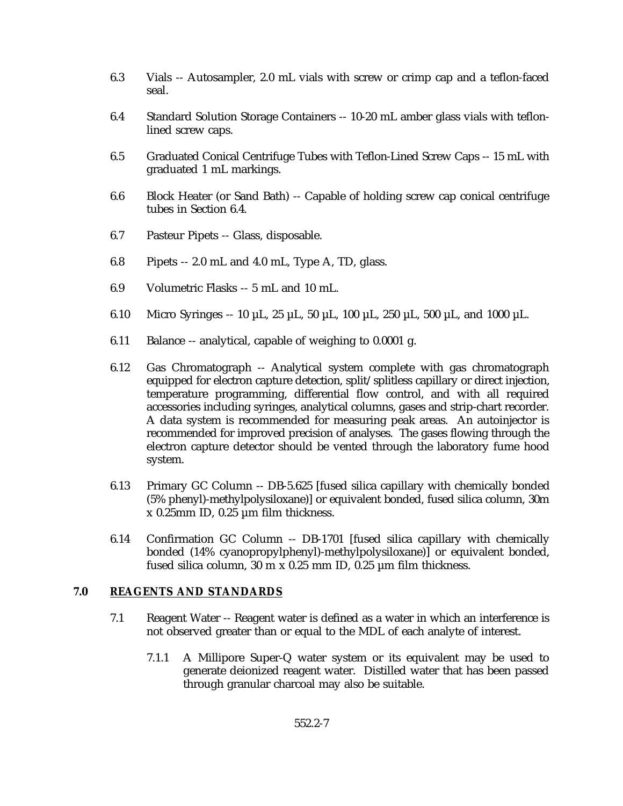- 6.3 Vials -- Autosampler, 2.0 mL vials with screw or crimp cap and a teflon-faced seal.
- 6.4 Standard Solution Storage Containers -- 10-20 mL amber glass vials with teflonlined screw caps.
- 6.5 Graduated Conical Centrifuge Tubes with Teflon-Lined Screw Caps -- 15 mL with graduated 1 mL markings.
- 6.6 Block Heater (or Sand Bath) -- Capable of holding screw cap conical centrifuge tubes in Section 6.4.
- 6.7 Pasteur Pipets -- Glass, disposable.
- 6.8 Pipets -- 2.0 mL and 4.0 mL, Type A, TD, glass.
- 6.9 Volumetric Flasks -- 5 mL and 10 mL.
- 6.10 Micro Syringes -- 10 µL, 25 µL, 50 µL, 100 µL, 250 µL, 500 µL, and 1000 µL.
- 6.11 Balance -- analytical, capable of weighing to 0.0001 g.
- 6.12 Gas Chromatograph -- Analytical system complete with gas chromatograph equipped for electron capture detection, split/splitless capillary or direct injection, temperature programming, differential flow control, and with all required accessories including syringes, analytical columns, gases and strip-chart recorder. A data system is recommended for measuring peak areas. An autoinjector is recommended for improved precision of analyses. The gases flowing through the electron capture detector should be vented through the laboratory fume hood system.
- 6.13 Primary GC Column -- DB-5.625 [fused silica capillary with chemically bonded (5% phenyl)-methylpolysiloxane)] or equivalent bonded, fused silica column, 30m x 0.25mm ID, 0.25 µm film thickness.
- 6.14 Confirmation GC Column -- DB-1701 [fused silica capillary with chemically bonded (14% cyanopropylphenyl)-methylpolysiloxane)] or equivalent bonded, fused silica column, 30 m x 0.25 mm ID, 0.25 µm film thickness.

#### **7.0 REAGENTS AND STANDARDS**

- 7.1 Reagent Water -- Reagent water is defined as a water in which an interference is not observed greater than or equal to the MDL of each analyte of interest.
	- 7.1.1 A Millipore Super-Q water system or its equivalent may be used to generate deionized reagent water. Distilled water that has been passed through granular charcoal may also be suitable.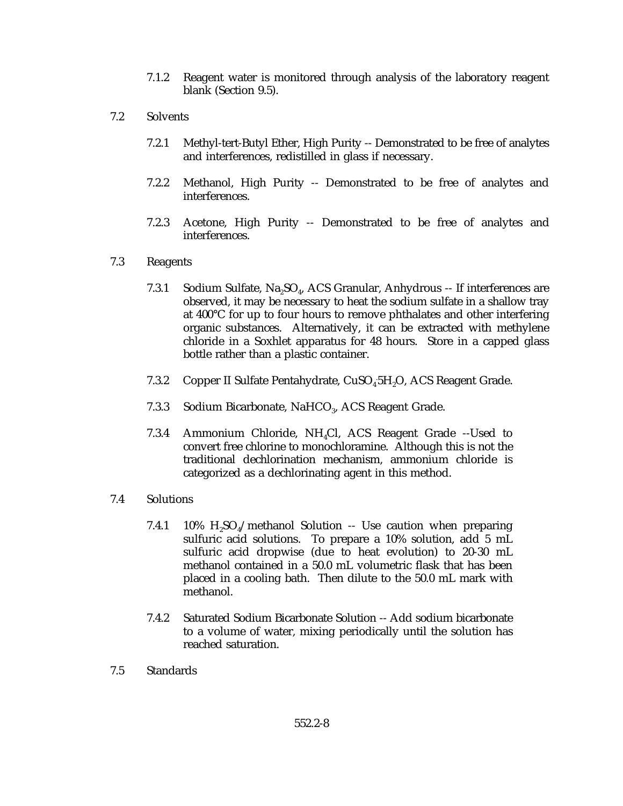- 7.1.2 Reagent water is monitored through analysis of the laboratory reagent blank (Section 9.5).
- 7.2 Solvents
	- 7.2.1 Methyl-tert-Butyl Ether, High Purity -- Demonstrated to be free of analytes and interferences, redistilled in glass if necessary.
	- 7.2.2 Methanol, High Purity -- Demonstrated to be free of analytes and interferences.
	- 7.2.3 Acetone, High Purity -- Demonstrated to be free of analytes and interferences.

#### 7.3 Reagents

- 7.3.1 Sodium Sulfate,  $Na<sub>2</sub>SO<sub>4</sub>$ , ACS Granular, Anhydrous -- If interferences are observed, it may be necessary to heat the sodium sulfate in a shallow tray at 400°C for up to four hours to remove phthalates and other interfering organic substances. Alternatively, it can be extracted with methylene chloride in a Soxhlet apparatus for 48 hours. Store in a capped glass bottle rather than a plastic container.
- 7.3.2 Copper II Sulfate Pentahydrate, CuSO<sub>4</sub>5H<sub>2</sub>O, ACS Reagent Grade.
- 7.3.3 Sodium Bicarbonate, NaHCO<sub>3</sub>, ACS Reagent Grade.
- 7.3.4 Ammonium Chloride,  $NH<sub>4</sub>Cl$ , ACS Reagent Grade --Used to convert free chlorine to monochloramine. Although this is not the traditional dechlorination mechanism, ammonium chloride is categorized as a dechlorinating agent in this method.
- 7.4 Solutions
	- 7.4.1 10%  $H_2SO_4$ /methanol Solution -- Use caution when preparing sulfuric acid solutions. To prepare a 10% solution, add 5 mL sulfuric acid dropwise (due to heat evolution) to 20-30 mL methanol contained in a 50.0 mL volumetric flask that has been placed in a cooling bath. Then dilute to the 50.0 mL mark with methanol.
	- 7.4.2 Saturated Sodium Bicarbonate Solution -- Add sodium bicarbonate to a volume of water, mixing periodically until the solution has reached saturation.
- 7.5 Standards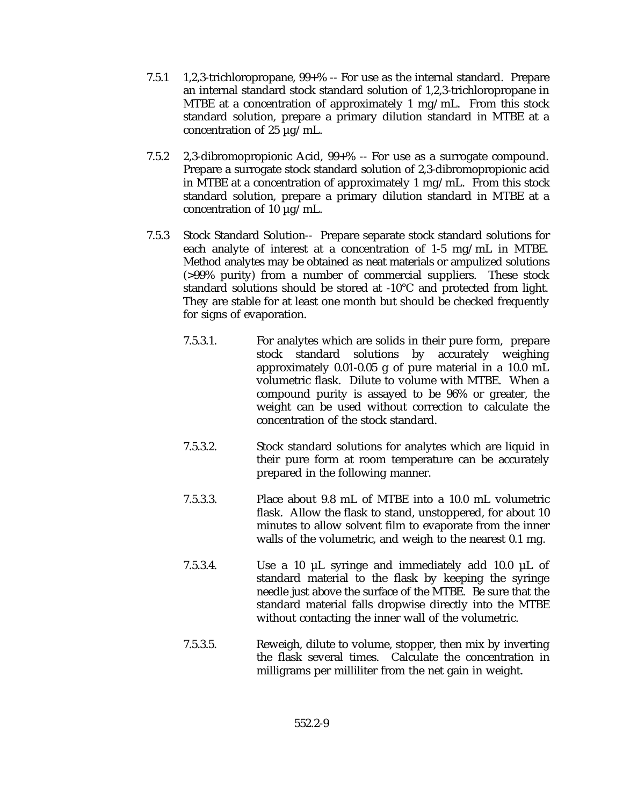- 7.5.1 1,2,3-trichloropropane, 99+% -- For use as the internal standard. Prepare an internal standard stock standard solution of 1,2,3-trichloropropane in MTBE at a concentration of approximately 1 mg/mL. From this stock standard solution, prepare a primary dilution standard in MTBE at a concentration of 25  $\mu$ g/mL.
- 7.5.2 2,3-dibromopropionic Acid, 99+% -- For use as a surrogate compound. Prepare a surrogate stock standard solution of 2,3-dibromopropionic acid in MTBE at a concentration of approximately 1 mg/mL. From this stock standard solution, prepare a primary dilution standard in MTBE at a concentration of 10  $\mu$ g/mL.
- 7.5.3 Stock Standard Solution-- Prepare separate stock standard solutions for each analyte of interest at a concentration of 1-5 mg/mL in MTBE. Method analytes may be obtained as neat materials or ampulized solutions (>99% purity) from a number of commercial suppliers. These stock standard solutions should be stored at -10°C and protected from light. They are stable for at least one month but should be checked frequently for signs of evaporation.
	- 7.5.3.1. For analytes which are solids in their pure form, prepare stock standard solutions by accurately weighing approximately 0.01-0.05 g of pure material in a 10.0 mL volumetric flask. Dilute to volume with MTBE. When a compound purity is assayed to be 96% or greater, the weight can be used without correction to calculate the concentration of the stock standard.
	- 7.5.3.2. Stock standard solutions for analytes which are liquid in their pure form at room temperature can be accurately prepared in the following manner.
	- 7.5.3.3. Place about 9.8 mL of MTBE into a 10.0 mL volumetric flask. Allow the flask to stand, unstoppered, for about 10 minutes to allow solvent film to evaporate from the inner walls of the volumetric, and weigh to the nearest 0.1 mg.
	- 7.5.3.4. Use a 10 µL syringe and immediately add 10.0 µL of standard material to the flask by keeping the syringe needle just above the surface of the MTBE. Be sure that the standard material falls dropwise directly into the MTBE without contacting the inner wall of the volumetric.
	- 7.5.3.5. Reweigh, dilute to volume, stopper, then mix by inverting the flask several times. Calculate the concentration in milligrams per milliliter from the net gain in weight.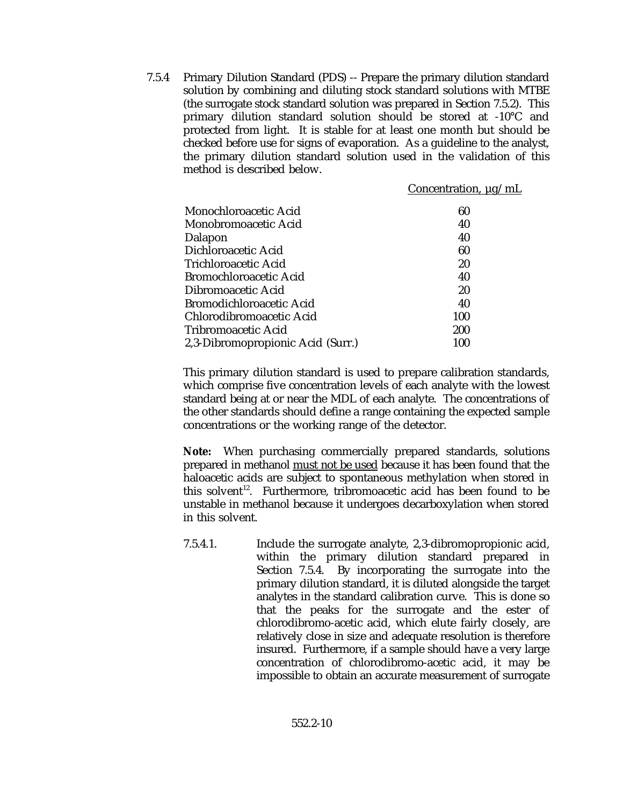7.5.4 Primary Dilution Standard (PDS) -- Prepare the primary dilution standard solution by combining and diluting stock standard solutions with MTBE (the surrogate stock standard solution was prepared in Section 7.5.2). This primary dilution standard solution should be stored at -10°C and protected from light. It is stable for at least one month but should be checked before use for signs of evaporation. As a guideline to the analyst, the primary dilution standard solution used in the validation of this method is described below.

|                                   | Concentration, $\mu$ g/mL |
|-----------------------------------|---------------------------|
| Monochloroacetic Acid             | 60                        |
| Monobromoacetic Acid              | 40                        |
| Dalapon                           | 40                        |
| Dichloroacetic Acid               | 60                        |
| Trichloroacetic Acid              | 20                        |
| Bromochloroacetic Acid            | 40                        |
| Dibromoacetic Acid                | 20                        |
| Bromodichloroacetic Acid          | 40                        |
| Chlorodibromoacetic Acid          | 100                       |
| Tribromoacetic Acid               | 200                       |
| 2,3-Dibromopropionic Acid (Surr.) | 100                       |
|                                   |                           |

This primary dilution standard is used to prepare calibration standards, which comprise five concentration levels of each analyte with the lowest standard being at or near the MDL of each analyte. The concentrations of the other standards should define a range containing the expected sample concentrations or the working range of the detector.

**Note:** When purchasing commercially prepared standards, solutions prepared in methanol must not be used because it has been found that the haloacetic acids are subject to spontaneous methylation when stored in this solvent<sup>12</sup>. Furthermore, tribromoacetic acid has been found to be unstable in methanol because it undergoes decarboxylation when stored in this solvent.

7.5.4.1. Include the surrogate analyte, 2,3-dibromopropionic acid, within the primary dilution standard prepared in Section 7.5.4. By incorporating the surrogate into the primary dilution standard, it is diluted alongside the target analytes in the standard calibration curve. This is done so that the peaks for the surrogate and the ester of chlorodibromo-acetic acid, which elute fairly closely, are relatively close in size and adequate resolution is therefore insured. Furthermore, if a sample should have a very large concentration of chlorodibromo-acetic acid, it may be impossible to obtain an accurate measurement of surrogate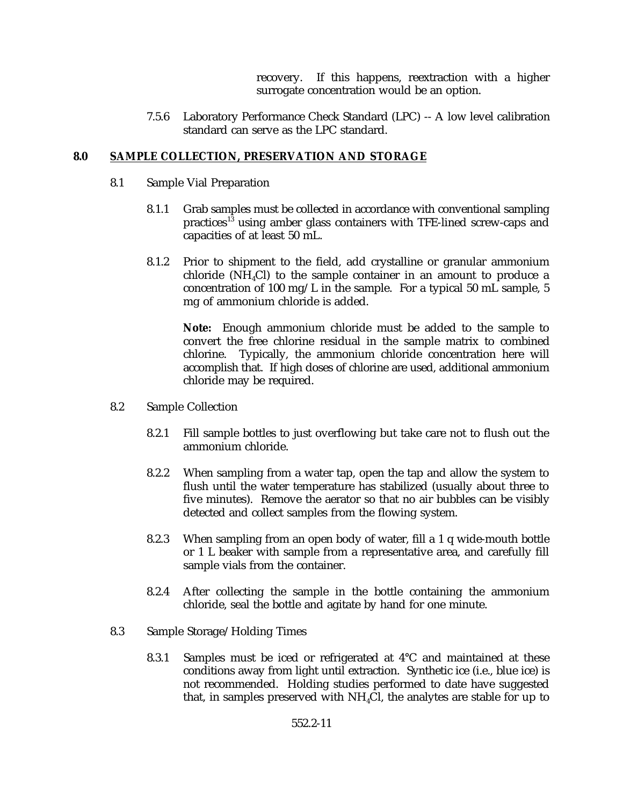recovery. If this happens, reextraction with a higher surrogate concentration would be an option.

7.5.6 Laboratory Performance Check Standard (LPC) -- A low level calibration standard can serve as the LPC standard.

#### **8.0 SAMPLE COLLECTION, PRESERVATION AND STORAGE**

- 8.1 Sample Vial Preparation
	- 8.1.1 Grab samples must be collected in accordance with conventional sampling practices<sup>13</sup> using amber glass containers with TFE-lined screw-caps and capacities of at least 50 mL.
	- 8.1.2 Prior to shipment to the field, add crystalline or granular ammonium chloride (NH $_{4}$ Cl) to the sample container in an amount to produce a concentration of 100 mg/L in the sample. For a typical 50 mL sample, 5 mg of ammonium chloride is added.

**Note:** Enough ammonium chloride must be added to the sample to convert the free chlorine residual in the sample matrix to combined chlorine. Typically, the ammonium chloride concentration here will accomplish that. If high doses of chlorine are used, additional ammonium chloride may be required.

- 8.2 Sample Collection
	- 8.2.1 Fill sample bottles to just overflowing but take care not to flush out the ammonium chloride.
	- 8.2.2 When sampling from a water tap, open the tap and allow the system to flush until the water temperature has stabilized (usually about three to five minutes). Remove the aerator so that no air bubbles can be visibly detected and collect samples from the flowing system.
	- 8.2.3 When sampling from an open body of water, fill a 1 q wide-mouth bottle or 1 L beaker with sample from a representative area, and carefully fill sample vials from the container.
	- 8.2.4 After collecting the sample in the bottle containing the ammonium chloride, seal the bottle and agitate by hand for one minute.
- 8.3 Sample Storage/Holding Times
	- 8.3.1 Samples must be iced or refrigerated at 4°C and maintained at these conditions away from light until extraction. Synthetic ice (i.e., blue ice) is not recommended. Holding studies performed to date have suggested that, in samples preserved with  $NH<sub>4</sub>Cl$ , the analytes are stable for up to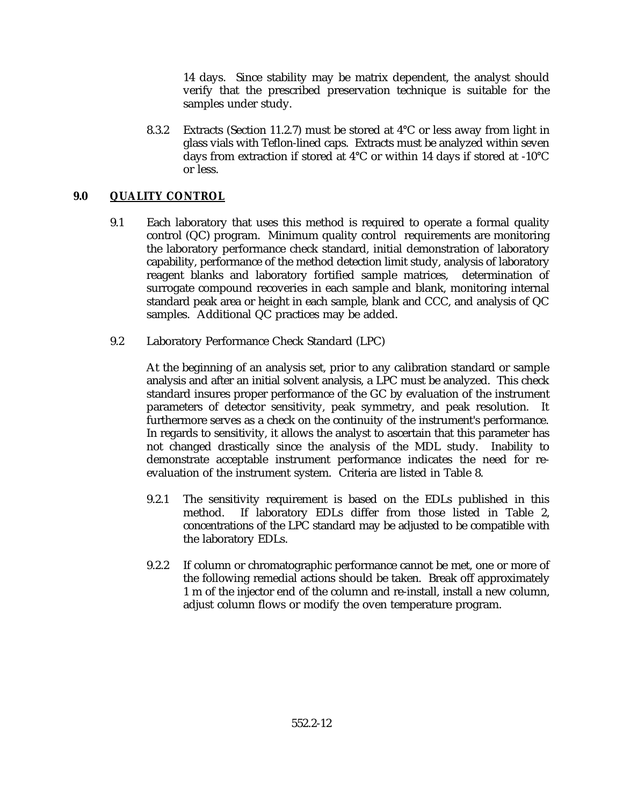14 days. Since stability may be matrix dependent, the analyst should verify that the prescribed preservation technique is suitable for the samples under study.

8.3.2 Extracts (Section 11.2.7) must be stored at 4°C or less away from light in glass vials with Teflon-lined caps. Extracts must be analyzed within seven days from extraction if stored at 4°C or within 14 days if stored at -10°C or less.

## **9.0 QUALITY CONTROL**

- 9.1 Each laboratory that uses this method is required to operate a formal quality control (QC) program. Minimum quality control requirements are monitoring the laboratory performance check standard, initial demonstration of laboratory capability, performance of the method detection limit study, analysis of laboratory reagent blanks and laboratory fortified sample matrices, determination of surrogate compound recoveries in each sample and blank, monitoring internal standard peak area or height in each sample, blank and CCC, and analysis of QC samples. Additional QC practices may be added.
- 9.2 Laboratory Performance Check Standard (LPC)

At the beginning of an analysis set, prior to any calibration standard or sample analysis and after an initial solvent analysis, a LPC must be analyzed. This check standard insures proper performance of the GC by evaluation of the instrument parameters of detector sensitivity, peak symmetry, and peak resolution. It furthermore serves as a check on the continuity of the instrument's performance. In regards to sensitivity, it allows the analyst to ascertain that this parameter has not changed drastically since the analysis of the MDL study. Inability to demonstrate acceptable instrument performance indicates the need for reevaluation of the instrument system. Criteria are listed in Table 8.

- 9.2.1 The sensitivity requirement is based on the EDLs published in this method. If laboratory EDLs differ from those listed in Table 2, concentrations of the LPC standard may be adjusted to be compatible with the laboratory EDLs.
- 9.2.2 If column or chromatographic performance cannot be met, one or more of the following remedial actions should be taken. Break off approximately 1 m of the injector end of the column and re-install, install a new column, adjust column flows or modify the oven temperature program.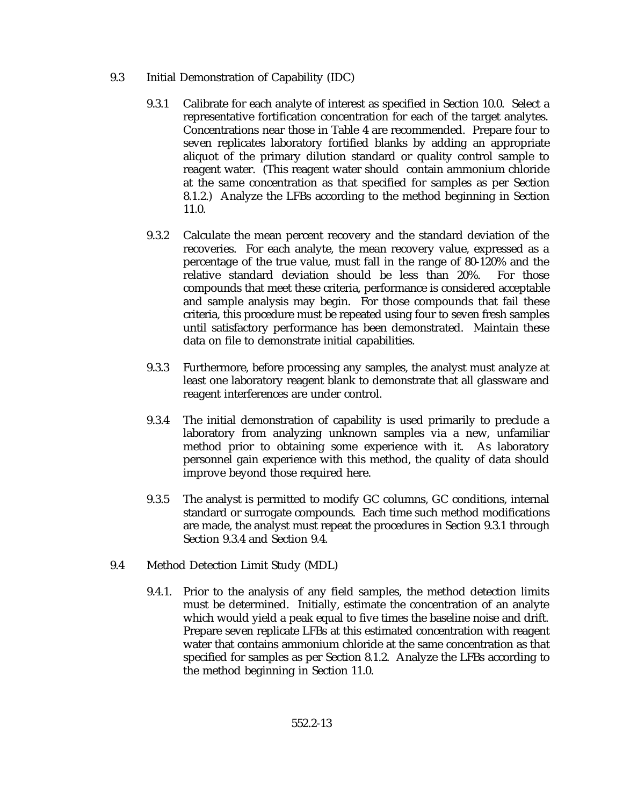- 9.3 Initial Demonstration of Capability (IDC)
	- 9.3.1 Calibrate for each analyte of interest as specified in Section 10.0. Select a representative fortification concentration for each of the target analytes. Concentrations near those in Table 4 are recommended. Prepare four to seven replicates laboratory fortified blanks by adding an appropriate aliquot of the primary dilution standard or quality control sample to reagent water. (This reagent water should contain ammonium chloride at the same concentration as that specified for samples as per Section 8.1.2.) Analyze the LFBs according to the method beginning in Section 11.0.
	- 9.3.2 Calculate the mean percent recovery and the standard deviation of the recoveries. For each analyte, the mean recovery value, expressed as a percentage of the true value, must fall in the range of 80-120% and the relative standard deviation should be less than 20%. For those compounds that meet these criteria, performance is considered acceptable and sample analysis may begin. For those compounds that fail these criteria, this procedure must be repeated using four to seven fresh samples until satisfactory performance has been demonstrated. Maintain these data on file to demonstrate initial capabilities.
	- 9.3.3 Furthermore, before processing any samples, the analyst must analyze at least one laboratory reagent blank to demonstrate that all glassware and reagent interferences are under control.
	- 9.3.4 The initial demonstration of capability is used primarily to preclude a laboratory from analyzing unknown samples via a new, unfamiliar method prior to obtaining some experience with it. As laboratory personnel gain experience with this method, the quality of data should improve beyond those required here.
	- 9.3.5 The analyst is permitted to modify GC columns, GC conditions, internal standard or surrogate compounds. Each time such method modifications are made, the analyst must repeat the procedures in Section 9.3.1 through Section 9.3.4 and Section 9.4.
- 9.4 Method Detection Limit Study (MDL)
	- 9.4.1. Prior to the analysis of any field samples, the method detection limits must be determined. Initially, estimate the concentration of an analyte which would yield a peak equal to five times the baseline noise and drift. Prepare seven replicate LFBs at this estimated concentration with reagent water that contains ammonium chloride at the same concentration as that specified for samples as per Section 8.1.2. Analyze the LFBs according to the method beginning in Section 11.0.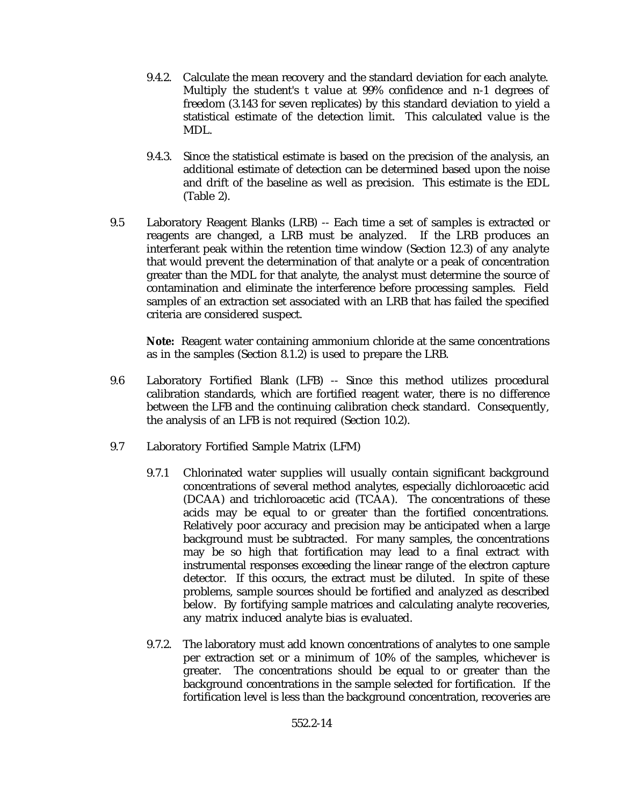- 9.4.2. Calculate the mean recovery and the standard deviation for each analyte. Multiply the student's t value at 99% confidence and n-1 degrees of freedom (3.143 for seven replicates) by this standard deviation to yield a statistical estimate of the detection limit. This calculated value is the MDL.
- 9.4.3. Since the statistical estimate is based on the precision of the analysis, an additional estimate of detection can be determined based upon the noise and drift of the baseline as well as precision. This estimate is the EDL (Table 2).
- 9.5 Laboratory Reagent Blanks (LRB) -- Each time a set of samples is extracted or reagents are changed, a LRB must be analyzed. If the LRB produces an interferant peak within the retention time window (Section 12.3) of any analyte that would prevent the determination of that analyte or a peak of concentration greater than the MDL for that analyte, the analyst must determine the source of contamination and eliminate the interference before processing samples. Field samples of an extraction set associated with an LRB that has failed the specified criteria are considered suspect.

**Note:** Reagent water containing ammonium chloride at the same concentrations as in the samples (Section 8.1.2) is used to prepare the LRB.

- 9.6 Laboratory Fortified Blank (LFB) -- Since this method utilizes procedural calibration standards, which are fortified reagent water, there is no difference between the LFB and the continuing calibration check standard. Consequently, the analysis of an LFB is not required (Section 10.2).
- 9.7 Laboratory Fortified Sample Matrix (LFM)
	- 9.7.1 Chlorinated water supplies will usually contain significant background concentrations of several method analytes, especially dichloroacetic acid (DCAA) and trichloroacetic acid (TCAA). The concentrations of these acids may be equal to or greater than the fortified concentrations. Relatively poor accuracy and precision may be anticipated when a large background must be subtracted. For many samples, the concentrations may be so high that fortification may lead to a final extract with instrumental responses exceeding the linear range of the electron capture detector. If this occurs, the extract must be diluted. In spite of these problems, sample sources should be fortified and analyzed as described below. By fortifying sample matrices and calculating analyte recoveries, any matrix induced analyte bias is evaluated.
	- 9.7.2. The laboratory must add known concentrations of analytes to one sample per extraction set or a minimum of 10% of the samples, whichever is greater. The concentrations should be equal to or greater than the background concentrations in the sample selected for fortification. If the fortification level is less than the background concentration, recoveries are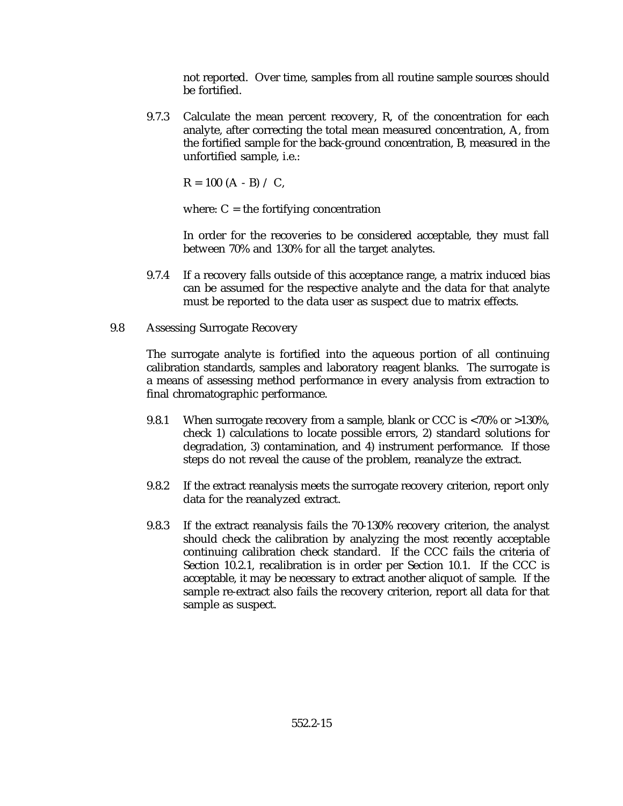not reported. Over time, samples from all routine sample sources should be fortified.

9.7.3 Calculate the mean percent recovery, R, of the concentration for each analyte, after correcting the total mean measured concentration, A, from the fortified sample for the back-ground concentration, B, measured in the unfortified sample, i.e.:

 $R = 100 (A - B) / C$ ,

where:  $C =$  the fortifying concentration

In order for the recoveries to be considered acceptable, they must fall between 70% and 130% for all the target analytes.

- 9.7.4 If a recovery falls outside of this acceptance range, a matrix induced bias can be assumed for the respective analyte and the data for that analyte must be reported to the data user as suspect due to matrix effects.
- 9.8 Assessing Surrogate Recovery

The surrogate analyte is fortified into the aqueous portion of all continuing calibration standards, samples and laboratory reagent blanks. The surrogate is a means of assessing method performance in every analysis from extraction to final chromatographic performance.

- 9.8.1 When surrogate recovery from a sample, blank or CCC is <70% or >130%, check 1) calculations to locate possible errors, 2) standard solutions for degradation, 3) contamination, and 4) instrument performance. If those steps do not reveal the cause of the problem, reanalyze the extract.
- 9.8.2 If the extract reanalysis meets the surrogate recovery criterion, report only data for the reanalyzed extract.
- 9.8.3 If the extract reanalysis fails the 70-130% recovery criterion, the analyst should check the calibration by analyzing the most recently acceptable continuing calibration check standard. If the CCC fails the criteria of Section 10.2.1, recalibration is in order per Section 10.1. If the CCC is acceptable, it may be necessary to extract another aliquot of sample. If the sample re-extract also fails the recovery criterion, report all data for that sample as suspect.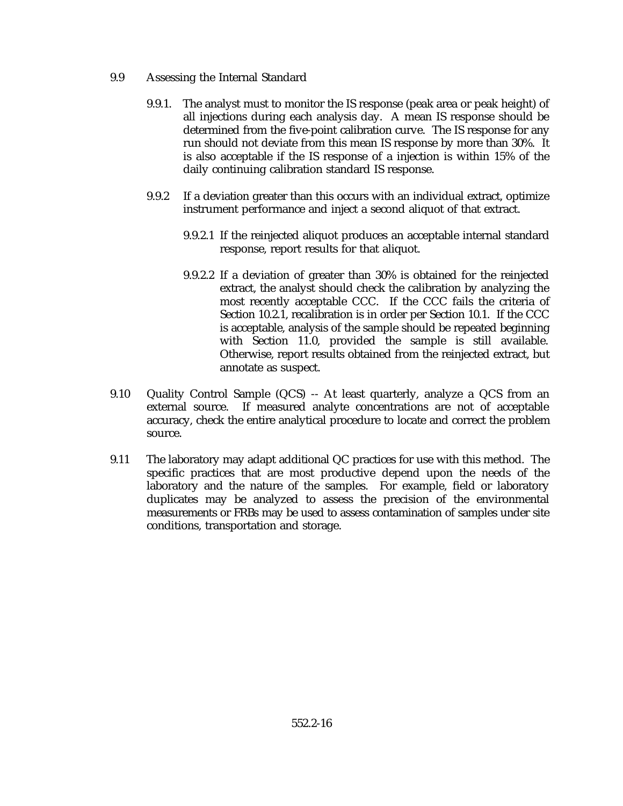- 9.9 Assessing the Internal Standard
	- 9.9.1. The analyst must to monitor the IS response (peak area or peak height) of all injections during each analysis day. A mean IS response should be determined from the five-point calibration curve. The IS response for any run should not deviate from this mean IS response by more than 30%. It is also acceptable if the IS response of a injection is within 15% of the daily continuing calibration standard IS response.
	- 9.9.2 If a deviation greater than this occurs with an individual extract, optimize instrument performance and inject a second aliquot of that extract.
		- 9.9.2.1 If the reinjected aliquot produces an acceptable internal standard response, report results for that aliquot.
		- 9.9.2.2 If a deviation of greater than 30% is obtained for the reinjected extract, the analyst should check the calibration by analyzing the most recently acceptable CCC. If the CCC fails the criteria of Section 10.2.1, recalibration is in order per Section 10.1. If the CCC is acceptable, analysis of the sample should be repeated beginning with Section 11.0, provided the sample is still available. Otherwise, report results obtained from the reinjected extract, but annotate as suspect.
- 9.10 Quality Control Sample (QCS) -- At least quarterly, analyze a QCS from an external source. If measured analyte concentrations are not of acceptable accuracy, check the entire analytical procedure to locate and correct the problem source.
- 9.11 The laboratory may adapt additional QC practices for use with this method. The specific practices that are most productive depend upon the needs of the laboratory and the nature of the samples. For example, field or laboratory duplicates may be analyzed to assess the precision of the environmental measurements or FRBs may be used to assess contamination of samples under site conditions, transportation and storage.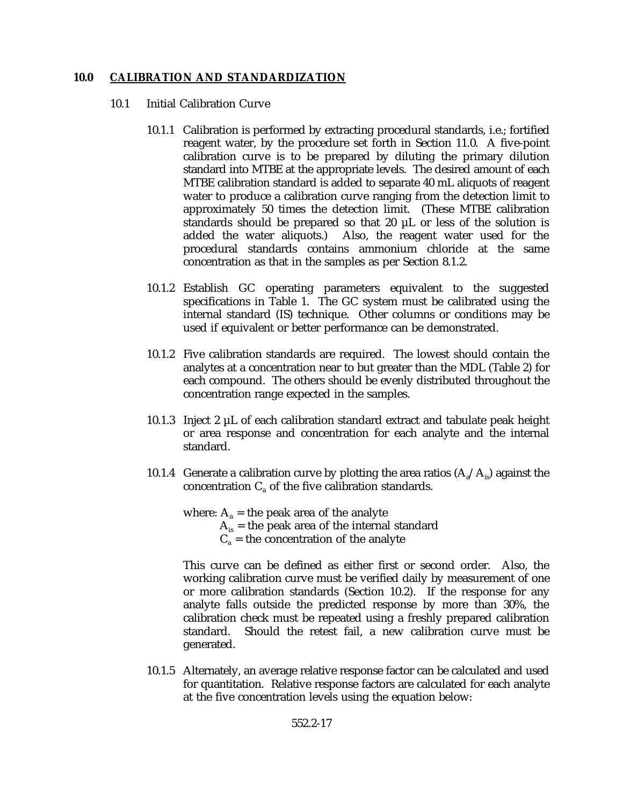### **10.0 CALIBRATION AND STANDARDIZATION**

- 10.1 Initial Calibration Curve
	- 10.1.1 Calibration is performed by extracting procedural standards, i.e.; fortified reagent water, by the procedure set forth in Section 11.0. A five-point calibration curve is to be prepared by diluting the primary dilution standard into MTBE at the appropriate levels. The desired amount of each MTBE calibration standard is added to separate 40 mL aliquots of reagent water to produce a calibration curve ranging from the detection limit to approximately 50 times the detection limit. (These MTBE calibration standards should be prepared so that 20 µL or less of the solution is added the water aliquots.) Also, the reagent water used for the procedural standards contains ammonium chloride at the same concentration as that in the samples as per Section 8.1.2.
	- 10.1.2 Establish GC operating parameters equivalent to the suggested specifications in Table 1. The GC system must be calibrated using the internal standard (IS) technique. Other columns or conditions may be used if equivalent or better performance can be demonstrated.
	- 10.1.2 Five calibration standards are required. The lowest should contain the analytes at a concentration near to but greater than the MDL (Table 2) for each compound. The others should be evenly distributed throughout the concentration range expected in the samples.
	- 10.1.3 Inject  $2 \mu L$  of each calibration standard extract and tabulate peak height or area response and concentration for each analyte and the internal standard.
	- 10.1.4 Generate a calibration curve by plotting the area ratios  $(A_{a}/A_{b})$  against the concentration  $C_a$  of the five calibration standards.

where:  $A_a$  = the peak area of the analyte  $A_{is}$  = the peak area of the internal standard  $C_a$  = the concentration of the analyte

This curve can be defined as either first or second order. Also, the working calibration curve must be verified daily by measurement of one or more calibration standards (Section 10.2). If the response for any analyte falls outside the predicted response by more than 30%, the calibration check must be repeated using a freshly prepared calibration standard. Should the retest fail, a new calibration curve must be generated.

10.1.5 Alternately, an average relative response factor can be calculated and used for quantitation. Relative response factors are calculated for each analyte at the five concentration levels using the equation below: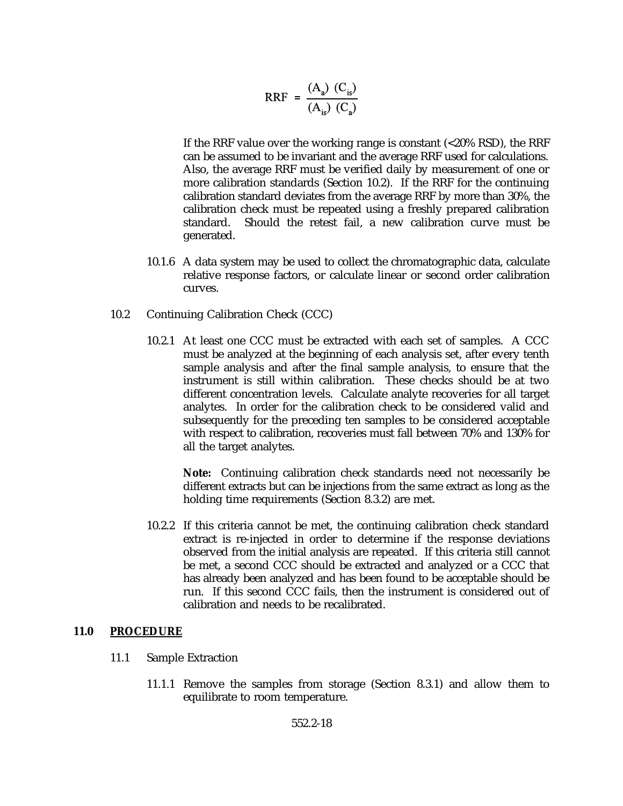$$
RRF = \frac{(A_a) (C_{is})}{(A_{is}) (C_a)}
$$

If the RRF value over the working range is constant (<20% RSD), the RRF can be assumed to be invariant and the average RRF used for calculations. Also, the average RRF must be verified daily by measurement of one or more calibration standards (Section 10.2). If the RRF for the continuing calibration standard deviates from the average RRF by more than 30%, the calibration check must be repeated using a freshly prepared calibration standard. Should the retest fail, a new calibration curve must be generated.

- 10.1.6 A data system may be used to collect the chromatographic data, calculate relative response factors, or calculate linear or second order calibration curves.
- 10.2 Continuing Calibration Check (CCC)
	- 10.2.1 At least one CCC must be extracted with each set of samples. A CCC must be analyzed at the beginning of each analysis set, after every tenth sample analysis and after the final sample analysis, to ensure that the instrument is still within calibration. These checks should be at two different concentration levels. Calculate analyte recoveries for all target analytes. In order for the calibration check to be considered valid and subsequently for the preceding ten samples to be considered acceptable with respect to calibration, recoveries must fall between 70% and 130% for all the target analytes.

**Note:** Continuing calibration check standards need not necessarily be different extracts but can be injections from the same extract as long as the holding time requirements (Section 8.3.2) are met.

10.2.2 If this criteria cannot be met, the continuing calibration check standard extract is re-injected in order to determine if the response deviations observed from the initial analysis are repeated. If this criteria still cannot be met, a second CCC should be extracted and analyzed or a CCC that has already been analyzed and has been found to be acceptable should be run. If this second CCC fails, then the instrument is considered out of calibration and needs to be recalibrated.

#### **11.0 PROCEDURE**

- 11.1 Sample Extraction
	- 11.1.1 Remove the samples from storage (Section 8.3.1) and allow them to equilibrate to room temperature.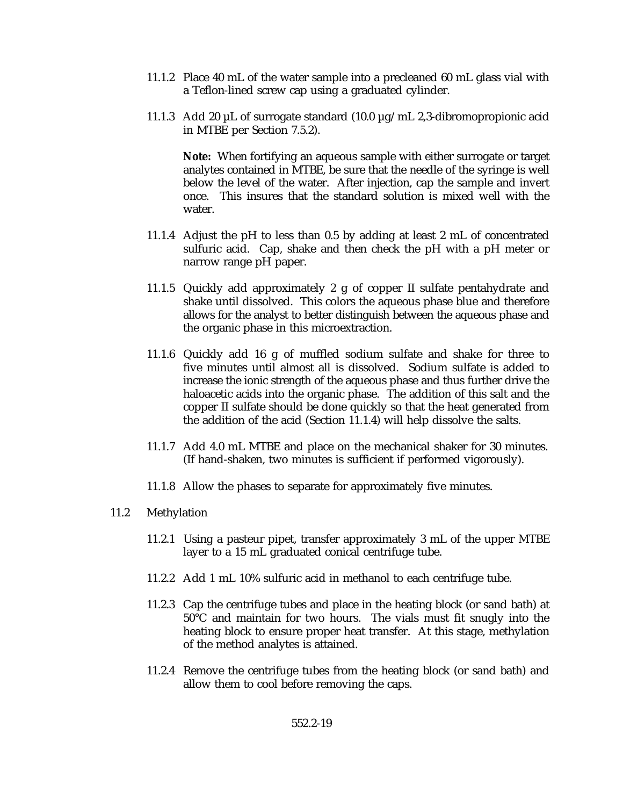- 11.1.2 Place 40 mL of the water sample into a precleaned 60 mL glass vial with a Teflon-lined screw cap using a graduated cylinder.
- 11.1.3 Add 20 µL of surrogate standard (10.0 µg/mL 2,3-dibromopropionic acid in MTBE per Section 7.5.2).

**Note:** When fortifying an aqueous sample with either surrogate or target analytes contained in MTBE, be sure that the needle of the syringe is well below the level of the water. After injection, cap the sample and invert once. This insures that the standard solution is mixed well with the water.

- 11.1.4 Adjust the pH to less than 0.5 by adding at least 2 mL of concentrated sulfuric acid. Cap, shake and then check the pH with a pH meter or narrow range pH paper.
- 11.1.5 Quickly add approximately 2 g of copper II sulfate pentahydrate and shake until dissolved. This colors the aqueous phase blue and therefore allows for the analyst to better distinguish between the aqueous phase and the organic phase in this microextraction.
- 11.1.6 Quickly add 16 g of muffled sodium sulfate and shake for three to five minutes until almost all is dissolved. Sodium sulfate is added to increase the ionic strength of the aqueous phase and thus further drive the haloacetic acids into the organic phase. The addition of this salt and the copper II sulfate should be done quickly so that the heat generated from the addition of the acid (Section 11.1.4) will help dissolve the salts.
- 11.1.7 Add 4.0 mL MTBE and place on the mechanical shaker for 30 minutes. (If hand-shaken, two minutes is sufficient if performed vigorously).
- 11.1.8 Allow the phases to separate for approximately five minutes.

### 11.2 Methylation

- 11.2.1 Using a pasteur pipet, transfer approximately 3 mL of the upper MTBE layer to a 15 mL graduated conical centrifuge tube.
- 11.2.2 Add 1 mL 10% sulfuric acid in methanol to each centrifuge tube.
- 11.2.3 Cap the centrifuge tubes and place in the heating block (or sand bath) at 50°C and maintain for two hours. The vials must fit snugly into the heating block to ensure proper heat transfer. At this stage, methylation of the method analytes is attained.
- 11.2.4 Remove the centrifuge tubes from the heating block (or sand bath) and allow them to cool before removing the caps.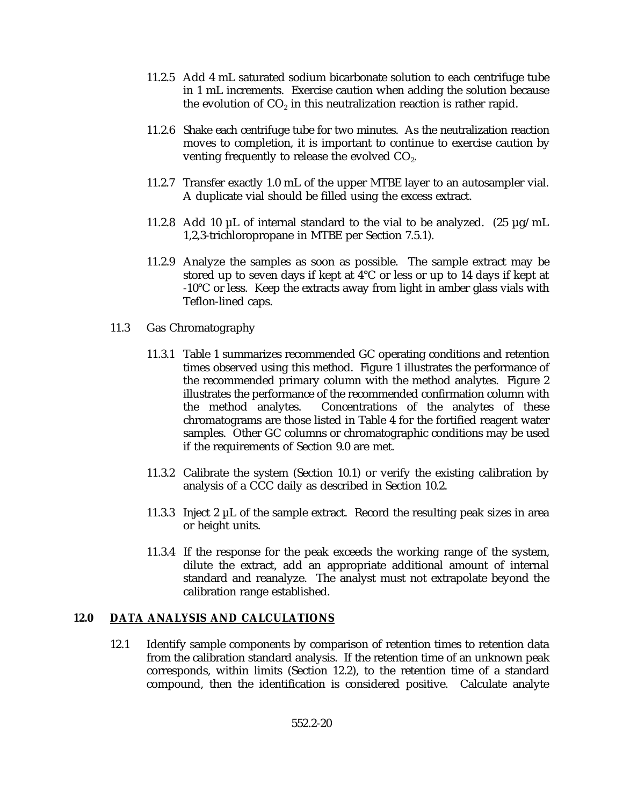- 11.2.5 Add 4 mL saturated sodium bicarbonate solution to each centrifuge tube in 1 mL increments. Exercise caution when adding the solution because the evolution of  $CO<sub>2</sub>$  in this neutralization reaction is rather rapid.
- 11.2.6 Shake each centrifuge tube for two minutes. As the neutralization reaction moves to completion, it is important to continue to exercise caution by venting frequently to release the evolved CO<sub>2</sub>.
- 11.2.7 Transfer exactly 1.0 mL of the upper MTBE layer to an autosampler vial. A duplicate vial should be filled using the excess extract.
- 11.2.8 Add 10 µL of internal standard to the vial to be analyzed. (25 µg/mL 1,2,3-trichloropropane in MTBE per Section 7.5.1).
- 11.2.9 Analyze the samples as soon as possible. The sample extract may be stored up to seven days if kept at 4°C or less or up to 14 days if kept at -10°C or less. Keep the extracts away from light in amber glass vials with Teflon-lined caps.
- 11.3 Gas Chromatography
	- 11.3.1 Table 1 summarizes recommended GC operating conditions and retention times observed using this method. Figure 1 illustrates the performance of the recommended primary column with the method analytes. Figure 2 illustrates the performance of the recommended confirmation column with the method analytes. Concentrations of the analytes of these chromatograms are those listed in Table 4 for the fortified reagent water samples. Other GC columns or chromatographic conditions may be used if the requirements of Section 9.0 are met.
	- 11.3.2 Calibrate the system (Section 10.1) or verify the existing calibration by analysis of a CCC daily as described in Section 10.2.
	- 11.3.3 Inject 2  $\mu$ L of the sample extract. Record the resulting peak sizes in area or height units.
	- 11.3.4 If the response for the peak exceeds the working range of the system, dilute the extract, add an appropriate additional amount of internal standard and reanalyze. The analyst must not extrapolate beyond the calibration range established.

### **12.0 DATA ANALYSIS AND CALCULATIONS**

12.1 Identify sample components by comparison of retention times to retention data from the calibration standard analysis. If the retention time of an unknown peak corresponds, within limits (Section 12.2), to the retention time of a standard compound, then the identification is considered positive. Calculate analyte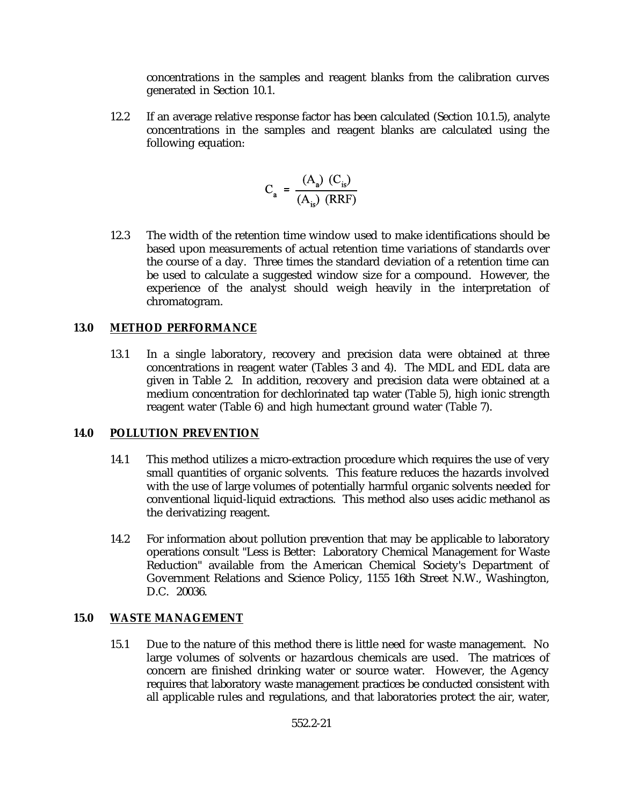concentrations in the samples and reagent blanks from the calibration curves generated in Section 10.1.

12.2 If an average relative response factor has been calculated (Section 10.1.5), analyte concentrations in the samples and reagent blanks are calculated using the following equation:

$$
C_a = \frac{(A_a) (C_{is})}{(A_{is}) (RRF)}
$$

12.3 The width of the retention time window used to make identifications should be based upon measurements of actual retention time variations of standards over the course of a day. Three times the standard deviation of a retention time can be used to calculate a suggested window size for a compound. However, the experience of the analyst should weigh heavily in the interpretation of chromatogram.

## **13.0 METHOD PERFORMANCE**

13.1 In a single laboratory, recovery and precision data were obtained at three concentrations in reagent water (Tables 3 and 4). The MDL and EDL data are given in Table 2. In addition, recovery and precision data were obtained at a medium concentration for dechlorinated tap water (Table 5), high ionic strength reagent water (Table 6) and high humectant ground water (Table 7).

### **14.0 POLLUTION PREVENTION**

- 14.1 This method utilizes a micro-extraction procedure which requires the use of very small quantities of organic solvents. This feature reduces the hazards involved with the use of large volumes of potentially harmful organic solvents needed for conventional liquid-liquid extractions. This method also uses acidic methanol as the derivatizing reagent.
- 14.2 For information about pollution prevention that may be applicable to laboratory operations consult "Less is Better: Laboratory Chemical Management for Waste Reduction" available from the American Chemical Society's Department of Government Relations and Science Policy, 1155 16th Street N.W., Washington, D.C. 20036.

# **15.0 WASTE MANAGEMENT**

15.1 Due to the nature of this method there is little need for waste management. No large volumes of solvents or hazardous chemicals are used. The matrices of concern are finished drinking water or source water. However, the Agency requires that laboratory waste management practices be conducted consistent with all applicable rules and regulations, and that laboratories protect the air, water,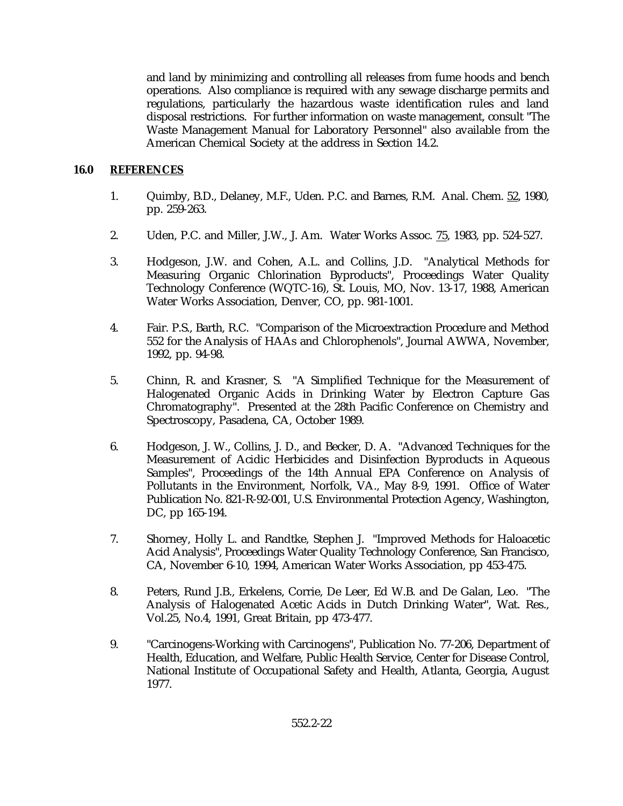and land by minimizing and controlling all releases from fume hoods and bench operations. Also compliance is required with any sewage discharge permits and regulations, particularly the hazardous waste identification rules and land disposal restrictions. For further information on waste management, consult "The Waste Management Manual for Laboratory Personnel" also available from the American Chemical Society at the address in Section 14.2.

### **16.0 REFERENCES**

- 1. Quimby, B.D., Delaney, M.F., Uden. P.C. and Barnes, R.M. Anal. Chem. 52, 1980, pp. 259-263.
- 2. Uden, P.C. and Miller, J.W., J. Am. Water Works Assoc. 75, 1983, pp. 524-527.
- 3. Hodgeson, J.W. and Cohen, A.L. and Collins, J.D. "Analytical Methods for Measuring Organic Chlorination Byproducts", Proceedings Water Quality Technology Conference (WQTC-16), St. Louis, MO, Nov. 13-17, 1988, American Water Works Association, Denver, CO, pp. 981-1001.
- 4. Fair. P.S., Barth, R.C. "Comparison of the Microextraction Procedure and Method 552 for the Analysis of HAAs and Chlorophenols", Journal AWWA, November, 1992, pp. 94-98.
- 5. Chinn, R. and Krasner, S. "A Simplified Technique for the Measurement of Halogenated Organic Acids in Drinking Water by Electron Capture Gas Chromatography". Presented at the 28th Pacific Conference on Chemistry and Spectroscopy, Pasadena, CA, October 1989.
- 6. Hodgeson, J. W., Collins, J. D., and Becker, D. A. "Advanced Techniques for the Measurement of Acidic Herbicides and Disinfection Byproducts in Aqueous Samples", Proceedings of the 14th Annual EPA Conference on Analysis of Pollutants in the Environment, Norfolk, VA., May 8-9, 1991. Office of Water Publication No. 821-R-92-001, U.S. Environmental Protection Agency, Washington, DC, pp 165-194.
- 7. Shorney, Holly L. and Randtke, Stephen J. "Improved Methods for Haloacetic Acid Analysis", Proceedings Water Quality Technology Conference, San Francisco, CA, November 6-10, 1994, American Water Works Association, pp 453-475.
- 8. Peters, Rund J.B., Erkelens, Corrie, De Leer, Ed W.B. and De Galan, Leo. "The Analysis of Halogenated Acetic Acids in Dutch Drinking Water", Wat. Res., Vol.25, No.4, 1991, Great Britain, pp 473-477.
- 9. "Carcinogens-Working with Carcinogens", Publication No. 77-206, Department of Health, Education, and Welfare, Public Health Service, Center for Disease Control, National Institute of Occupational Safety and Health, Atlanta, Georgia, August 1977.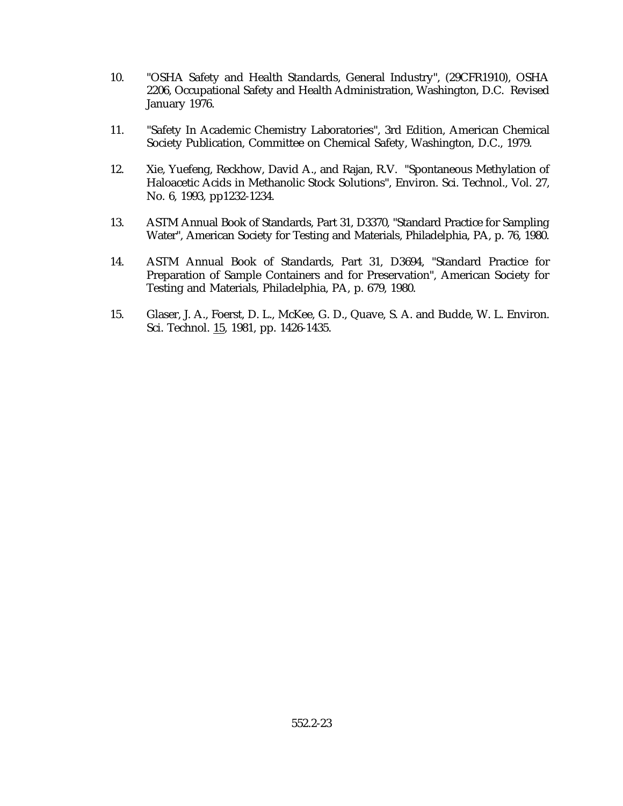- 10. "OSHA Safety and Health Standards, General Industry", (29CFR1910), OSHA 2206, Occupational Safety and Health Administration, Washington, D.C. Revised January 1976.
- 11. "Safety In Academic Chemistry Laboratories", 3rd Edition, American Chemical Society Publication, Committee on Chemical Safety, Washington, D.C., 1979.
- 12. Xie, Yuefeng, Reckhow, David A., and Rajan, R.V. "Spontaneous Methylation of Haloacetic Acids in Methanolic Stock Solutions", Environ. Sci. Technol., Vol. 27, No. 6, 1993, pp1232-1234.
- 13. ASTM Annual Book of Standards, Part 31, D3370, "Standard Practice for Sampling Water", American Society for Testing and Materials, Philadelphia, PA, p. 76, 1980.
- 14. ASTM Annual Book of Standards, Part 31, D3694, "Standard Practice for Preparation of Sample Containers and for Preservation", American Society for Testing and Materials, Philadelphia, PA, p. 679, 1980.
- 15. Glaser, J. A., Foerst, D. L., McKee, G. D., Quave, S. A. and Budde, W. L. Environ. Sci. Technol. 15, 1981, pp. 1426-1435.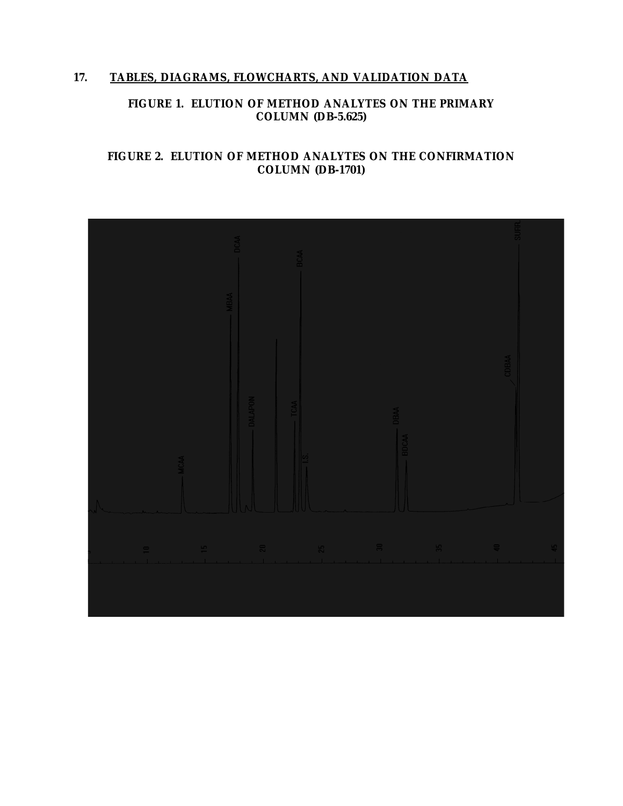# **17. TABLES, DIAGRAMS, FLOWCHARTS, AND VALIDATION DATA**

# **FIGURE 1. ELUTION OF METHOD ANALYTES ON THE PRIMARY COLUMN (DB-5.625)**

## **FIGURE 2. ELUTION OF METHOD ANALYTES ON THE CONFIRMATION COLUMN (DB-1701)**

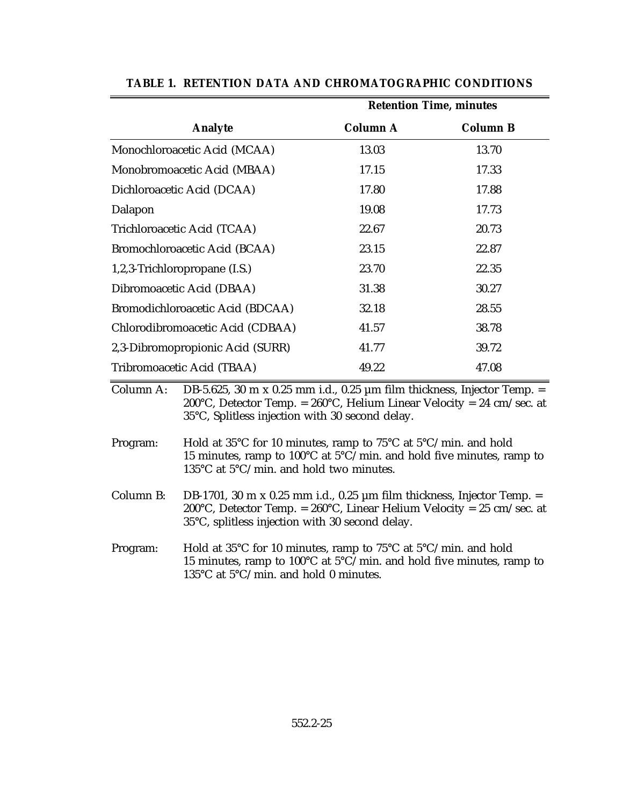|                                  | <b>Retention Time, minutes</b> |                 |  |  |
|----------------------------------|--------------------------------|-----------------|--|--|
| <b>Analyte</b>                   | <b>Column A</b>                | <b>Column B</b> |  |  |
| Monochloroacetic Acid (MCAA)     | 13.03                          | 13.70           |  |  |
| Monobromoacetic Acid (MBAA)      | 17.15                          | 17.33           |  |  |
| Dichloroacetic Acid (DCAA)       | 17.80                          | 17.88           |  |  |
| Dalapon                          | 19.08                          | 17.73           |  |  |
| Trichloroacetic Acid (TCAA)      | 22.67                          | 20.73           |  |  |
| Bromochloroacetic Acid (BCAA)    | 23.15                          | 22.87           |  |  |
| 1,2,3-Trichloropropane (I.S.)    | 23.70                          | 22.35           |  |  |
| Dibromoacetic Acid (DBAA)        | 31.38                          | 30.27           |  |  |
| Bromodichloroacetic Acid (BDCAA) | 32.18                          | 28.55           |  |  |
| Chlorodibromoacetic Acid (CDBAA) | 41.57                          | 38.78           |  |  |
| 2,3-Dibromopropionic Acid (SURR) | 41.77                          | 39.72           |  |  |
| Tribromoacetic Acid (TBAA)       | 49.22                          | 47.08           |  |  |

**TABLE 1. RETENTION DATA AND CHROMATOGRAPHIC CONDITIONS**

Column A: DB-5.625, 30 m x 0.25 mm i.d., 0.25  $\mu$ m film thickness, Injector Temp. = 200°C, Detector Temp. =  $260^{\circ}$ C, Helium Linear Velocity = 24 cm/sec. at 35°C, Splitless injection with 30 second delay.

Program: Hold at 35°C for 10 minutes, ramp to 75°C at 5°C/min. and hold 15 minutes, ramp to 100°C at  $5^{\circ}$ C/min. and hold five minutes, ramp to 135°C at 5°C/min. and hold two minutes.

Column B: DB-1701, 30 m x 0.25 mm i.d., 0.25  $\mu$ m film thickness, Injector Temp. = 200°C, Detector Temp. =  $260^{\circ}$ C, Linear Helium Velocity =  $25 \text{ cm/sec}$ . at 35°C, splitless injection with 30 second delay.

Program: Hold at 35°C for 10 minutes, ramp to 75°C at 5°C/min. and hold 15 minutes, ramp to 100 $^{\circ}$ C at 5 $^{\circ}$ C/min. and hold five minutes, ramp to 135°C at 5°C/min. and hold 0 minutes.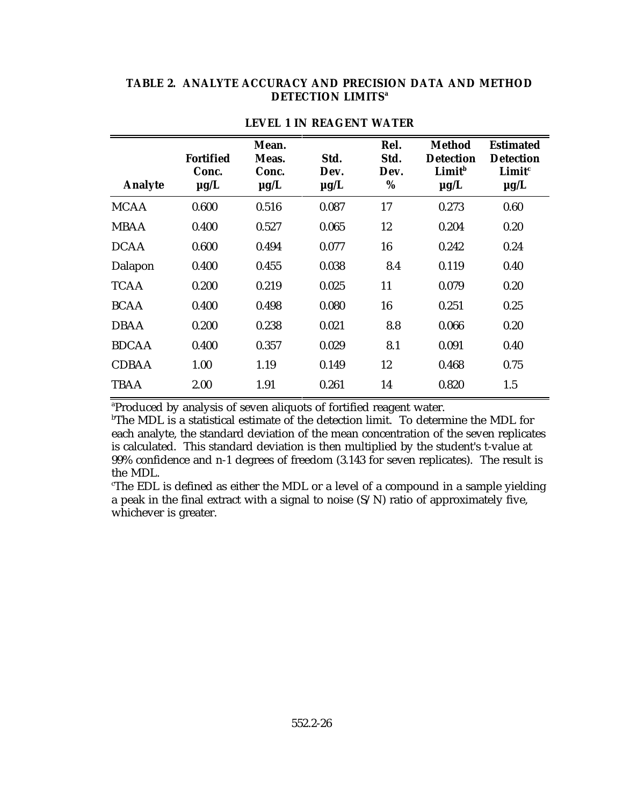#### **TABLE 2. ANALYTE ACCURACY AND PRECISION DATA AND METHOD DETECTION LIMITSa**

| <b>Analyte</b> | <b>Fortified</b><br>Conc.<br>$\mu$ g/L | Mean.<br>Meas.<br>Conc.<br>$\mu$ g/L | Std.<br>Dev.<br>$\mu$ g/L | Rel.<br>Std.<br>Dev.<br>% | <b>Method</b><br><b>Detection</b><br>Limit <sup>b</sup><br>$\mu g/L$ | <b>Estimated</b><br><b>Detection</b><br>Limit <sup>c</sup><br>$\mu$ g/L |
|----------------|----------------------------------------|--------------------------------------|---------------------------|---------------------------|----------------------------------------------------------------------|-------------------------------------------------------------------------|
| <b>MCAA</b>    | 0.600                                  | 0.516                                | 0.087                     | 17                        | 0.273                                                                | 0.60                                                                    |
| <b>MBAA</b>    | 0.400                                  | 0.527                                | 0.065                     | 12                        | 0.204                                                                | 0.20                                                                    |
| <b>DCAA</b>    | 0.600                                  | 0.494                                | 0.077                     | 16                        | 0.242                                                                | 0.24                                                                    |
| Dalapon        | 0.400                                  | 0.455                                | 0.038                     | 8.4                       | 0.119                                                                | 0.40                                                                    |
| <b>TCAA</b>    | 0.200                                  | 0.219                                | 0.025                     | 11                        | 0.079                                                                | 0.20                                                                    |
| <b>BCAA</b>    | 0.400                                  | 0.498                                | 0.080                     | 16                        | 0.251                                                                | 0.25                                                                    |
| <b>DBAA</b>    | 0.200                                  | 0.238                                | 0.021                     | 8.8                       | 0.066                                                                | 0.20                                                                    |
| <b>BDCAA</b>   | 0.400                                  | 0.357                                | 0.029                     | 8.1                       | 0.091                                                                | 0.40                                                                    |
| <b>CDBAA</b>   | 1.00                                   | 1.19                                 | 0.149                     | 12                        | 0.468                                                                | 0.75                                                                    |
| <b>TBAA</b>    | 2.00                                   | 1.91                                 | 0.261                     | 14                        | 0.820                                                                | 1.5                                                                     |

#### **LEVEL 1 IN REAGENT WATER**

<sup>a</sup>Produced by analysis of seven aliquots of fortified reagent water.

 $b$ The MDL is a statistical estimate of the detection limit. To determine the MDL for each analyte, the standard deviation of the mean concentration of the seven replicates is calculated. This standard deviation is then multiplied by the student's t-value at 99% confidence and n-1 degrees of freedom (3.143 for seven replicates). The result is the MDL.

The EDL is defined as either the MDL or a level of a compound in a sample yielding a peak in the final extract with a signal to noise  $(S/N)$  ratio of approximately five, whichever is greater.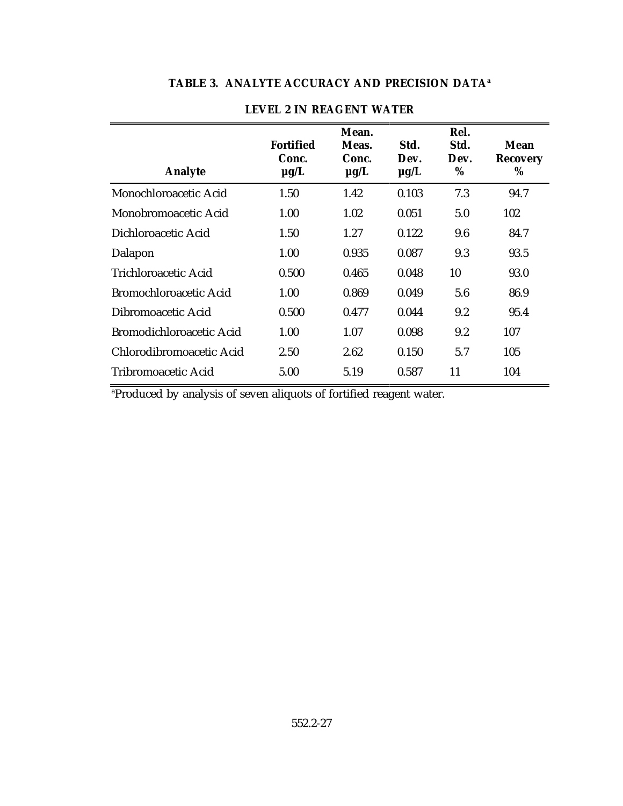| <b>Fortified</b><br>Conc.<br>$\mu$ g/L | Mean.<br>Meas.<br>Conc.<br>$\mu$ g/L | Std.<br>Dev.<br>$\mu$ g/L | Rel.<br>Std.<br>Dev.<br>% | Mean<br><b>Recovery</b><br>% |
|----------------------------------------|--------------------------------------|---------------------------|---------------------------|------------------------------|
| 1.50                                   | 1.42                                 | 0.103                     | 7.3                       | 94.7                         |
| 1.00                                   | 1.02                                 | 0.051                     | 5.0                       | 102                          |
| 1.50                                   | 1.27                                 | 0.122                     | 9.6                       | 84.7                         |
| 1.00                                   | 0.935                                | 0.087                     | 9.3                       | 93.5                         |
| 0.500                                  | 0.465                                | 0.048                     | 10                        | 93.0                         |
| 1.00                                   | 0.869                                | 0.049                     | 5.6                       | 86.9                         |
| 0.500                                  | 0.477                                | 0.044                     | 9.2                       | 95.4                         |
| 1.00                                   | 1.07                                 | 0.098                     | 9.2                       | 107                          |
| 2.50                                   | 2.62                                 | 0.150                     | 5.7                       | 105                          |
| 5.00                                   | 5.19                                 | 0.587                     | 11                        | 104                          |
|                                        |                                      |                           |                           |                              |

# **TABLE 3. ANALYTE ACCURACY AND PRECISION DATA<sup>a</sup>**

# **LEVEL 2 IN REAGENT WATER**

<sup>a</sup>Produced by analysis of seven aliquots of fortified reagent water.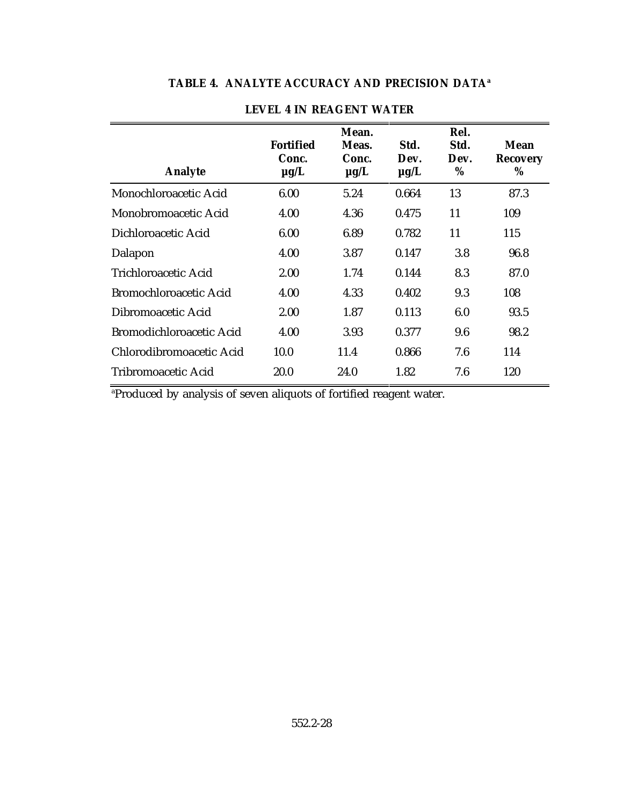| Rel.<br>Std.<br>Dev.<br>$\%$ | Mean<br><b>Recovery</b><br>% |
|------------------------------|------------------------------|
| 13                           | 87.3                         |
| 11                           | 109                          |
| 11                           | 115                          |
| 3.8                          | 96.8                         |
| 8.3                          | 87.0                         |
| 9.3                          | 108                          |
| 6.0                          | 93.5                         |
| 9.6                          | 98.2                         |
| 7.6                          | 114                          |
| 7.6                          | 120                          |
|                              |                              |

# **TABLE 4. ANALYTE ACCURACY AND PRECISION DATA<sup>a</sup>**

# **LEVEL 4 IN REAGENT WATER**

<sup>a</sup>Produced by analysis of seven aliquots of fortified reagent water.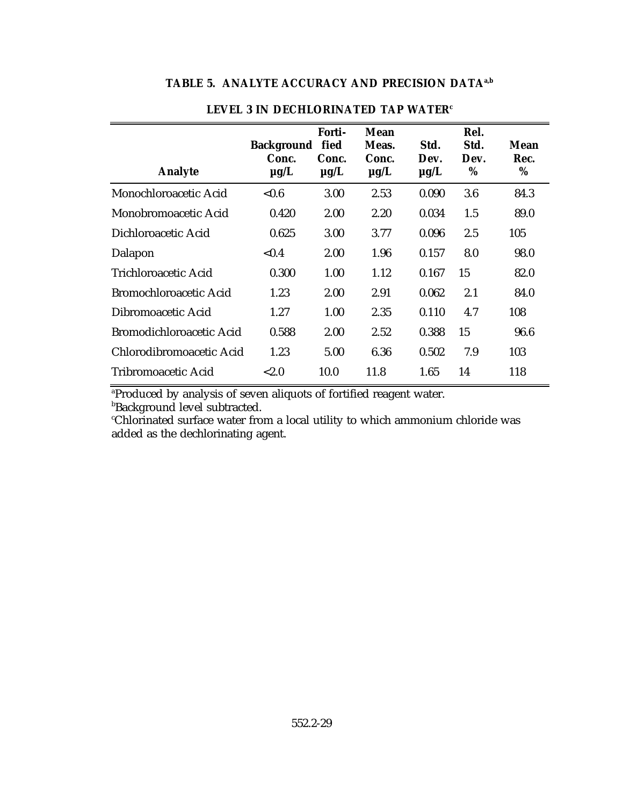# **TABLE 5. ANALYTE ACCURACY AND PRECISION DATAa,b**

| <b>Analyte</b>                | <b>Background</b><br>Conc.<br>$\mu$ g/L | Forti-<br>fied<br>Conc.<br>$\mu$ g/L | Mean<br>Meas.<br>Conc.<br>$\mu$ g/L | Std.<br>Dev.<br>$\mu$ g/L | Rel.<br>Std.<br>Dev.<br>% | Mean<br>Rec.<br>% |
|-------------------------------|-----------------------------------------|--------------------------------------|-------------------------------------|---------------------------|---------------------------|-------------------|
| Monochloroacetic Acid         | < 0.6                                   | 3.00                                 | 2.53                                | 0.090                     | 3.6                       | 84.3              |
| Monobromoacetic Acid          | 0.420                                   | 2.00                                 | 2.20                                | 0.034                     | 1.5                       | 89.0              |
| Dichloroacetic Acid           | 0.625                                   | 3.00                                 | 3.77                                | 0.096                     | 2.5                       | 105               |
| Dalapon                       | ${<}0.4$                                | 2.00                                 | 1.96                                | 0.157                     | 8.0                       | 98.0              |
| Trichloroacetic Acid          | 0.300                                   | 1.00                                 | 1.12                                | 0.167                     | 15                        | 82.0              |
| <b>Bromochloroacetic Acid</b> | 1.23                                    | 2.00                                 | 2.91                                | 0.062                     | 2.1                       | 84.0              |
| Dibromoacetic Acid            | 1.27                                    | 1.00                                 | 2.35                                | 0.110                     | 4.7                       | 108               |
| Bromodichloroacetic Acid      | 0.588                                   | 2.00                                 | 2.52                                | 0.388                     | 15                        | 96.6              |
| Chlorodibromoacetic Acid      | 1.23                                    | 5.00                                 | 6.36                                | 0.502                     | 7.9                       | 103               |
| Tribromoacetic Acid           | < 2.0                                   | 10.0                                 | 11.8                                | 1.65                      | 14                        | 118               |

## **LEVEL 3 IN DECHLORINATED TAP WATER<sup>c</sup>**

<sup>a</sup>Produced by analysis of seven aliquots of fortified reagent water.

**Background level subtracted.** 

Chlorinated surface water from a local utility to which ammonium chloride was <sup>c</sup> added as the dechlorinating agent.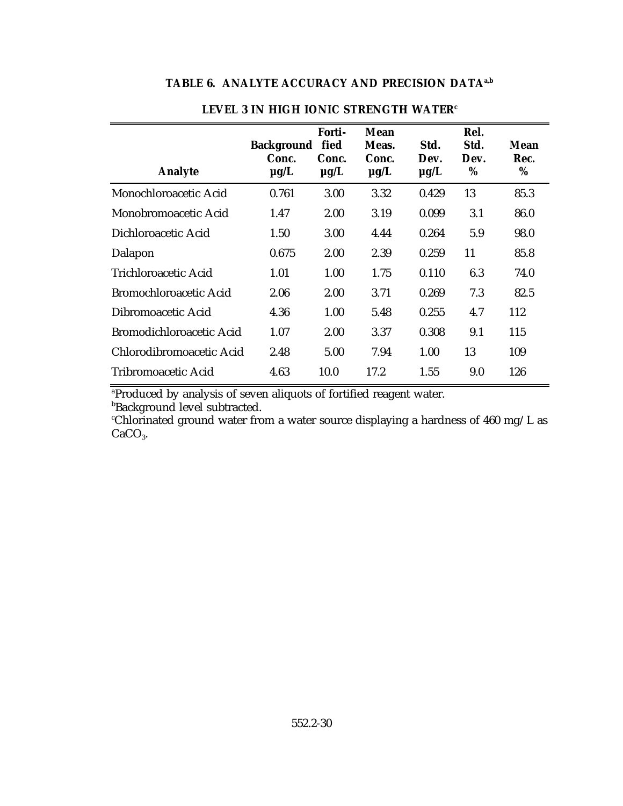# **TABLE 6. ANALYTE ACCURACY AND PRECISION DATAa,b**

| <b>Analyte</b>           | <b>Background</b><br>Conc.<br>$\mu$ g/L | Forti-<br>fied<br>Conc.<br>$\mu$ g/L | Mean<br>Meas.<br>Conc.<br>$\mu$ g/L | Std.<br>Dev.<br>$\mu$ g/L | Rel.<br>Std.<br>Dev.<br>% | Mean<br>Rec.<br>% |
|--------------------------|-----------------------------------------|--------------------------------------|-------------------------------------|---------------------------|---------------------------|-------------------|
| Monochloroacetic Acid    | 0.761                                   | 3.00                                 | 3.32                                | 0.429                     | 13                        | 85.3              |
| Monobromoacetic Acid     | 1.47                                    | 2.00                                 | 3.19                                | 0.099                     | 3.1                       | 86.0              |
| Dichloroacetic Acid      | 1.50                                    | 3.00                                 | 4.44                                | 0.264                     | 5.9                       | 98.0              |
| Dalapon                  | 0.675                                   | 2.00                                 | 2.39                                | 0.259                     | 11                        | 85.8              |
| Trichloroacetic Acid     | 1.01                                    | 1.00                                 | 1.75                                | 0.110                     | 6.3                       | 74.0              |
| Bromochloroacetic Acid   | 2.06                                    | 2.00                                 | 3.71                                | 0.269                     | 7.3                       | 82.5              |
| Dibromoacetic Acid       | 4.36                                    | 1.00                                 | 5.48                                | 0.255                     | 4.7                       | 112               |
| Bromodichloroacetic Acid | 1.07                                    | 2.00                                 | 3.37                                | 0.308                     | 9.1                       | 115               |
| Chlorodibromoacetic Acid | 2.48                                    | 5.00                                 | 7.94                                | 1.00                      | 13                        | 109               |
| Tribromoacetic Acid      | 4.63                                    | 10.0                                 | 17.2                                | 1.55                      | 9.0                       | 126               |

# **LEVEL 3 IN HIGH IONIC STRENGTH WATER<sup>c</sup>**

<sup>a</sup>Produced by analysis of seven aliquots of fortified reagent water.

bBackground level subtracted.

 $\,^{\circ}$ Chlorinated ground water from a water source displaying a hardness of 460 mg/L as  $CaCO<sub>3</sub>$ .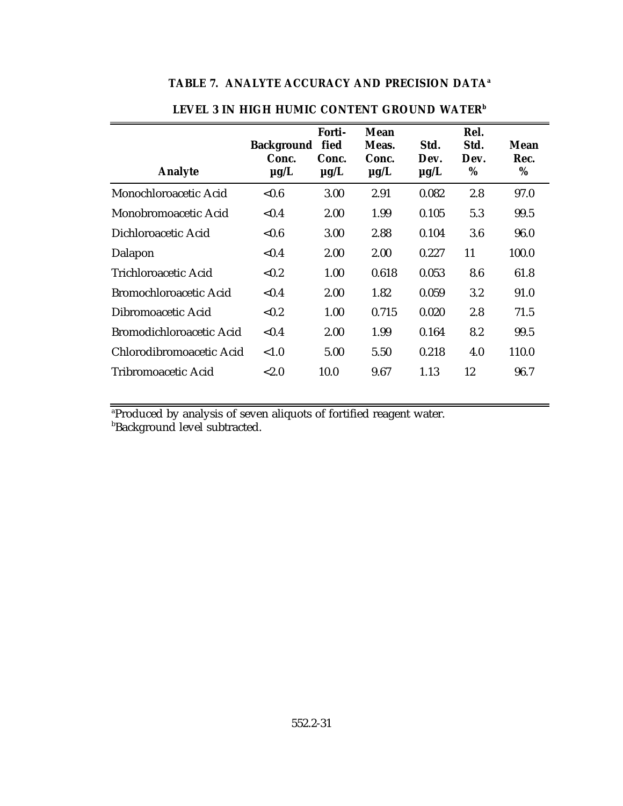| <b>Analyte</b>           | Background fied<br>Conc.<br>$\mu$ g/L | Forti-<br>Conc.<br>$\mu$ g/L | Mean<br>Meas.<br>Conc.<br>$\mu$ g/L | Std.<br>Dev.<br>$\mu$ g/L | Rel.<br>Std.<br>Dev.<br>% | Mean<br>Rec.<br>% |
|--------------------------|---------------------------------------|------------------------------|-------------------------------------|---------------------------|---------------------------|-------------------|
| Monochloroacetic Acid    | < 0.6                                 | 3.00                         | 2.91                                | 0.082                     | 2.8                       | 97.0              |
| Monobromoacetic Acid     | < 0.4                                 | 2.00                         | 1.99                                | 0.105                     | 5.3                       | 99.5              |
| Dichloroacetic Acid      | < 0.6                                 | 3.00                         | 2.88                                | 0.104                     | 3.6                       | 96.0              |
| Dalapon                  | < 0.4                                 | 2.00                         | 2.00                                | 0.227                     | 11                        | 100.0             |
| Trichloroacetic Acid     | < 0.2                                 | 1.00                         | 0.618                               | 0.053                     | 8.6                       | 61.8              |
| Bromochloroacetic Acid   | < 0.4                                 | 2.00                         | 1.82                                | 0.059                     | 3.2                       | 91.0              |
| Dibromoacetic Acid       | < 0.2                                 | 1.00                         | 0.715                               | 0.020                     | 2.8                       | 71.5              |
| Bromodichloroacetic Acid | < 0.4                                 | 2.00                         | 1.99                                | 0.164                     | 8.2                       | 99.5              |
| Chlorodibromoacetic Acid | < 1.0                                 | 5.00                         | 5.50                                | 0.218                     | 4.0                       | 110.0             |
| Tribromoacetic Acid      | ${<}2.0$                              | 10.0                         | 9.67                                | 1.13                      | 12                        | 96.7              |

# **TABLE 7. ANALYTE ACCURACY AND PRECISION DATA<sup>a</sup>**

**LEVEL 3 IN HIGH HUMIC CONTENT GROUND WATER<sup>b</sup>**

<sup>a</sup>Produced by analysis of seven aliquots of fortified reagent water.

bBackground level subtracted.